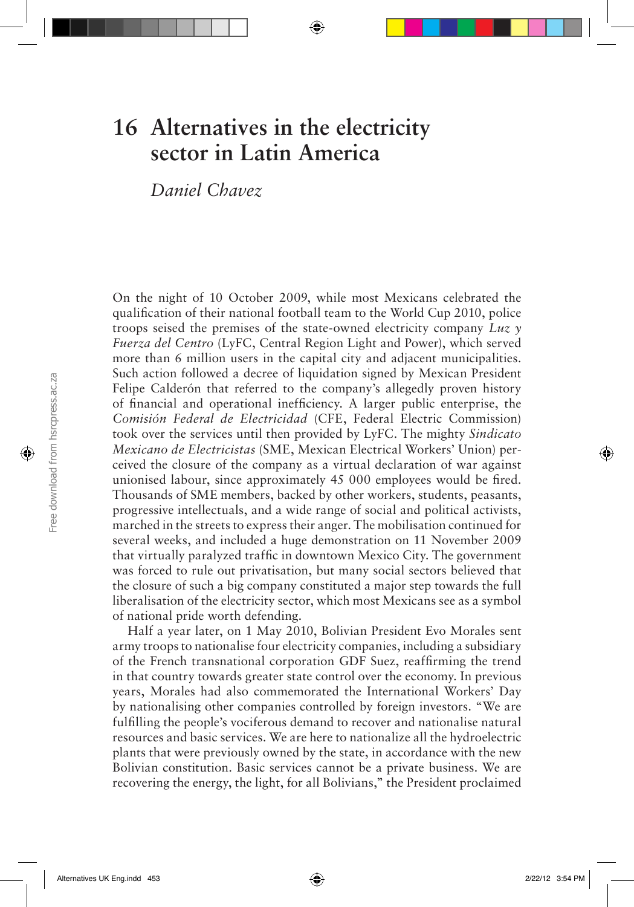# **16 Alternatives in the electricity sector in Latin America**

*Daniel Chavez*

On the night of 10 October 2009, while most Mexicans celebrated the qualification of their national football team to the World Cup 2010, police troops seised the premises of the state-owned electricity company *Luz y Fuerza del Centro* (LyFC, Central Region Light and Power), which served more than 6 million users in the capital city and adjacent municipalities. Such action followed a decree of liquidation signed by Mexican President Felipe Calderón that referred to the company's allegedly proven history of financial and operational inefficiency. A larger public enterprise, the *Comisión Federal de Electricidad* (CFE, Federal Electric Commission) took over the services until then provided by LyFC. The mighty *Sindicato Mexicano de Electricistas* (SME, Mexican Electrical Workers' Union) perceived the closure of the company as a virtual declaration of war against unionised labour, since approximately 45 000 employees would be fired. Thousands of SME members, backed by other workers, students, peasants, progressive intellectuals, and a wide range of social and political activists, marched in the streets to express their anger. The mobilisation continued for several weeks, and included a huge demonstration on 11 November 2009 that virtually paralyzed traffic in downtown Mexico City. The government was forced to rule out privatisation, but many social sectors believed that the closure of such a big company constituted a major step towards the full liberalisation of the electricity sector, which most Mexicans see as a symbol of national pride worth defending.

Half a year later, on 1 May 2010, Bolivian President Evo Morales sent army troops to nationalise four electricity companies, including a subsidiary of the French transnational corporation GDF Suez, reaffirming the trend in that country towards greater state control over the economy. In previous years, Morales had also commemorated the International Workers' Day by nationalising other companies controlled by foreign investors. "We are fulfilling the people's vociferous demand to recover and nationalise natural resources and basic services. We are here to nationalize all the hydroelectric plants that were previously owned by the state, in accordance with the new Bolivian constitution. Basic services cannot be a private business. We are recovering the energy, the light, for all Bolivians," the President proclaimed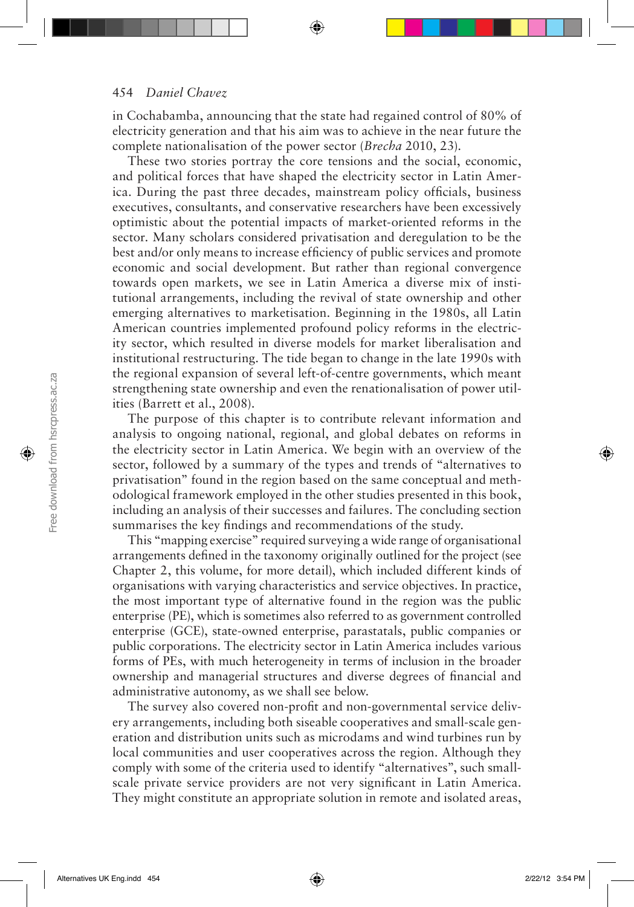in Cochabamba, announcing that the state had regained control of 80% of electricity generation and that his aim was to achieve in the near future the complete nationalisation of the power sector (*Brecha* 2010, 23).

These two stories portray the core tensions and the social, economic, and political forces that have shaped the electricity sector in Latin America. During the past three decades, mainstream policy officials, business executives, consultants, and conservative researchers have been excessively optimistic about the potential impacts of market-oriented reforms in the sector. Many scholars considered privatisation and deregulation to be the best and/or only means to increase efficiency of public services and promote economic and social development. But rather than regional convergence towards open markets, we see in Latin America a diverse mix of institutional arrangements, including the revival of state ownership and other emerging alternatives to marketisation. Beginning in the 1980s, all Latin American countries implemented profound policy reforms in the electricity sector, which resulted in diverse models for market liberalisation and institutional restructuring. The tide began to change in the late 1990s with the regional expansion of several left-of-centre governments, which meant strengthening state ownership and even the renationalisation of power utilities (Barrett et al., 2008).

The purpose of this chapter is to contribute relevant information and analysis to ongoing national, regional, and global debates on reforms in the electricity sector in Latin America. We begin with an overview of the sector, followed by a summary of the types and trends of "alternatives to privatisation" found in the region based on the same conceptual and methodological framework employed in the other studies presented in this book, including an analysis of their successes and failures. The concluding section summarises the key findings and recommendations of the study.

This "mapping exercise" required surveying a wide range of organisational arrangements defined in the taxonomy originally outlined for the project (see Chapter 2, this volume, for more detail), which included different kinds of organisations with varying characteristics and service objectives. In practice, the most important type of alternative found in the region was the public enterprise (PE), which is sometimes also referred to as government controlled enterprise (GCE), state-owned enterprise, parastatals, public companies or public corporations. The electricity sector in Latin America includes various forms of PEs, with much heterogeneity in terms of inclusion in the broader ownership and managerial structures and diverse degrees of financial and administrative autonomy, as we shall see below.

The survey also covered non-profit and non-governmental service delivery arrangements, including both siseable cooperatives and small-scale generation and distribution units such as microdams and wind turbines run by local communities and user cooperatives across the region. Although they comply with some of the criteria used to identify "alternatives", such smallscale private service providers are not very significant in Latin America. They might constitute an appropriate solution in remote and isolated areas,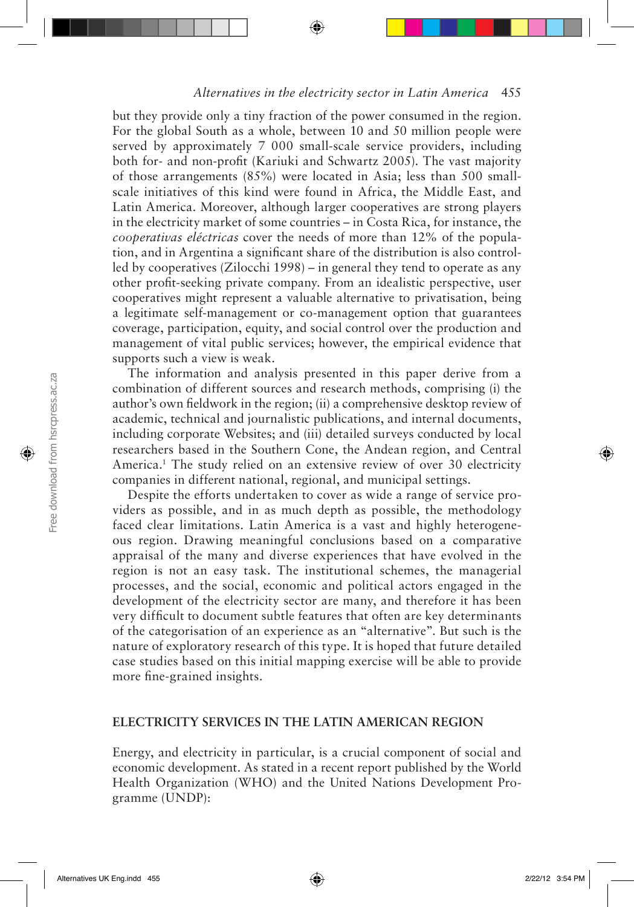but they provide only a tiny fraction of the power consumed in the region. For the global South as a whole, between 10 and 50 million people were served by approximately 7 000 small-scale service providers, including both for- and non-profit (Kariuki and Schwartz 2005). The vast majority of those arrangements (85%) were located in Asia; less than 500 smallscale initiatives of this kind were found in Africa, the Middle East, and Latin America. Moreover, although larger cooperatives are strong players in the electricity market of some countries – in Costa Rica, for instance, the *cooperativas eléctricas* cover the needs of more than 12% of the population, and in Argentina a significant share of the distribution is also controlled by cooperatives (Zilocchi 1998) – in general they tend to operate as any other profit-seeking private company. From an idealistic perspective, user cooperatives might represent a valuable alternative to privatisation, being a legitimate self-management or co-management option that guarantees coverage, participation, equity, and social control over the production and management of vital public services; however, the empirical evidence that supports such a view is weak.

The information and analysis presented in this paper derive from a combination of different sources and research methods, comprising (i) the author's own fieldwork in the region; (ii) a comprehensive desktop review of academic, technical and journalistic publications, and internal documents, including corporate Websites; and (iii) detailed surveys conducted by local researchers based in the Southern Cone, the Andean region, and Central America.<sup>1</sup> The study relied on an extensive review of over 30 electricity companies in different national, regional, and municipal settings.

Despite the efforts undertaken to cover as wide a range of service providers as possible, and in as much depth as possible, the methodology faced clear limitations. Latin America is a vast and highly heterogeneous region. Drawing meaningful conclusions based on a comparative appraisal of the many and diverse experiences that have evolved in the region is not an easy task. The institutional schemes, the managerial processes, and the social, economic and political actors engaged in the development of the electricity sector are many, and therefore it has been very difficult to document subtle features that often are key determinants of the categorisation of an experience as an "alternative". But such is the nature of exploratory research of this type. It is hoped that future detailed case studies based on this initial mapping exercise will be able to provide more fine-grained insights.

#### **ELECTRICITY SERVICES IN THE LATIN AMERICAN REGION**

Energy, and electricity in particular, is a crucial component of social and economic development. As stated in a recent report published by the World Health Organization (WHO) and the United Nations Development Programme (UNDP):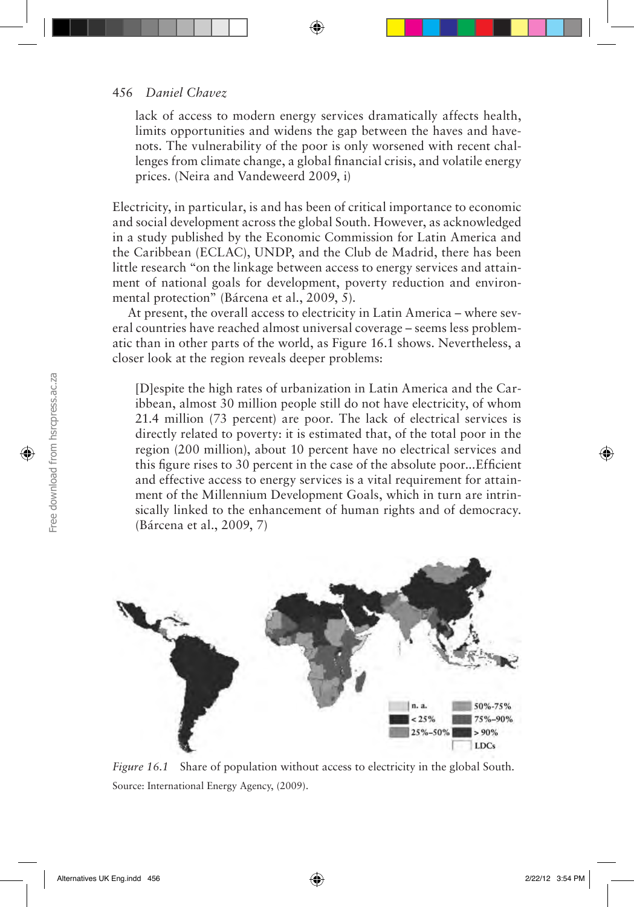#### 456 *Daniel Chavez*

lack of access to modern energy services dramatically affects health, limits opportunities and widens the gap between the haves and havenots. The vulnerability of the poor is only worsened with recent challenges from climate change, a global financial crisis, and volatile energy prices. (Neira and Vandeweerd 2009, i)

Electricity, in particular, is and has been of critical importance to economic and social development across the global South. However, as acknowledged in a study published by the Economic Commission for Latin America and the Caribbean (ECLAC), UNDP, and the Club de Madrid, there has been little research "on the linkage between access to energy services and attainment of national goals for development, poverty reduction and environmental protection" (Bárcena et al., 2009, 5).

At present, the overall access to electricity in Latin America – where several countries have reached almost universal coverage – seems less problematic than in other parts of the world, as Figure 16.1 shows. Nevertheless, a closer look at the region reveals deeper problems:

[D]espite the high rates of urbanization in Latin America and the Caribbean, almost 30 million people still do not have electricity, of whom 21.4 million (73 percent) are poor. The lack of electrical services is directly related to poverty: it is estimated that, of the total poor in the region (200 million), about 10 percent have no electrical services and this figure rises to 30 percent in the case of the absolute poor...Efficient and effective access to energy services is a vital requirement for attainment of the Millennium Development Goals, which in turn are intrinsically linked to the enhancement of human rights and of democracy. (Bárcena et al., 2009, 7)



*Figure 16.1* Share of population without access to electricity in the global South. Source: International Energy Agency, (2009).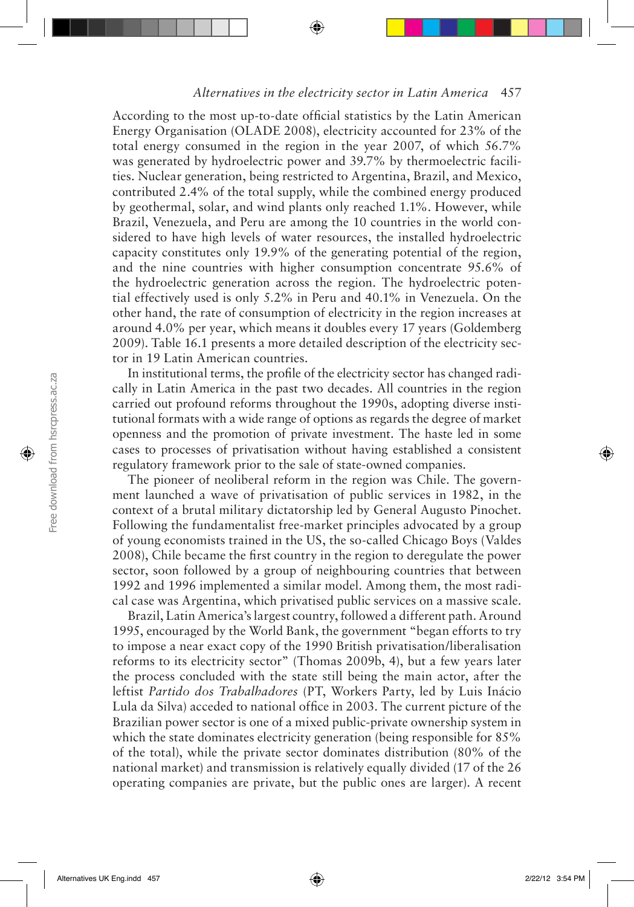According to the most up-to-date official statistics by the Latin American Energy Organisation (OLADE 2008), electricity accounted for 23% of the total energy consumed in the region in the year 2007, of which 56.7% was generated by hydroelectric power and 39.7% by thermoelectric facilities. Nuclear generation, being restricted to Argentina, Brazil, and Mexico, contributed 2.4% of the total supply, while the combined energy produced by geothermal, solar, and wind plants only reached 1.1%. However, while Brazil, Venezuela, and Peru are among the 10 countries in the world considered to have high levels of water resources, the installed hydroelectric capacity constitutes only 19.9% of the generating potential of the region, and the nine countries with higher consumption concentrate 95.6% of the hydroelectric generation across the region. The hydroelectric potential effectively used is only 5.2% in Peru and 40.1% in Venezuela. On the other hand, the rate of consumption of electricity in the region increases at around 4.0% per year, which means it doubles every 17 years (Goldemberg 2009). Table 16.1 presents a more detailed description of the electricity sector in 19 Latin American countries.

In institutional terms, the profile of the electricity sector has changed radically in Latin America in the past two decades. All countries in the region carried out profound reforms throughout the 1990s, adopting diverse institutional formats with a wide range of options as regards the degree of market openness and the promotion of private investment. The haste led in some cases to processes of privatisation without having established a consistent regulatory framework prior to the sale of state-owned companies.

The pioneer of neoliberal reform in the region was Chile. The government launched a wave of privatisation of public services in 1982, in the context of a brutal military dictatorship led by General Augusto Pinochet. Following the fundamentalist free-market principles advocated by a group of young economists trained in the US, the so-called Chicago Boys (Valdes 2008), Chile became the first country in the region to deregulate the power sector, soon followed by a group of neighbouring countries that between 1992 and 1996 implemented a similar model. Among them, the most radical case was Argentina, which privatised public services on a massive scale.

Brazil, Latin America's largest country, followed a different path. Around 1995, encouraged by the World Bank, the government "began efforts to try to impose a near exact copy of the 1990 British privatisation/liberalisation reforms to its electricity sector" (Thomas 2009b, 4), but a few years later the process concluded with the state still being the main actor, after the leftist *Partido dos Trabalhadores* (PT, Workers Party, led by Luis Inácio Lula da Silva) acceded to national office in 2003. The current picture of the Brazilian power sector is one of a mixed public-private ownership system in which the state dominates electricity generation (being responsible for  $85\%$ ) of the total), while the private sector dominates distribution (80% of the national market) and transmission is relatively equally divided (17 of the 26 operating companies are private, but the public ones are larger). A recent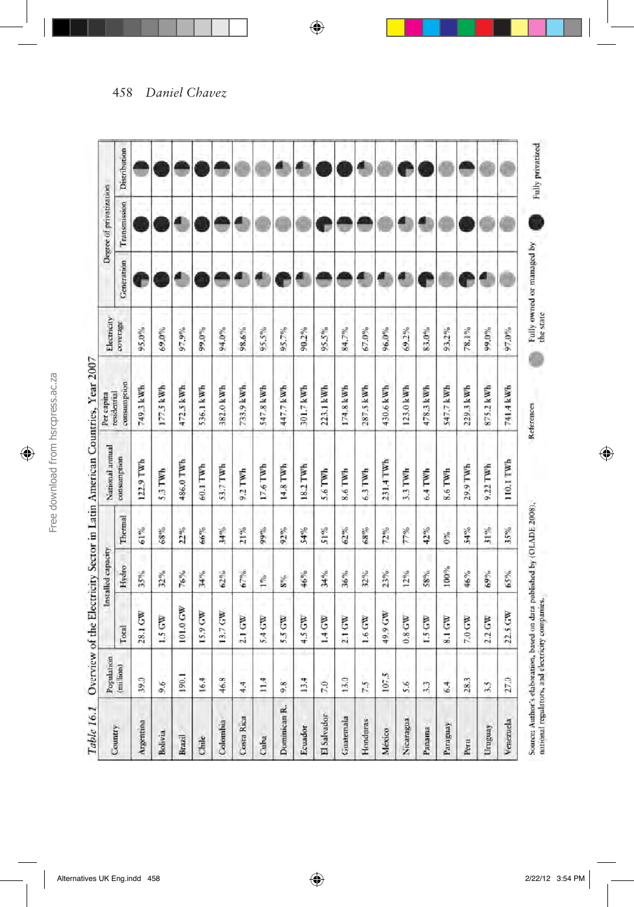|                | Population      |                    | Installed capacity |         | National annual | Per capita                 | Electricity |                 | Degree of privatization |              |
|----------------|-----------------|--------------------|--------------------|---------|-----------------|----------------------------|-------------|-----------------|-------------------------|--------------|
| Country        | (million)       | Total              | Hydro              | Thermal | consumption     | consumption<br>residential | coverage    | Generation      | Transmission            | Distribution |
| Argentina      | 39.0            | 28.1 GW            | 35%                | 61%     | 122.9 TWh       | 749.3 kWh                  | 95.0%       | P               |                         |              |
| <b>Bolivia</b> | 9.6             | LS GW              | 32%                | 68%     | 5.3 TWh         | 177.5 kWh                  | 69.0%       |                 |                         |              |
| Brazil         | 190.1           | 101.0 GW           | 76%                | 22%     | 486.0 TWh       | 472.5 kWh                  | 97.9%       | Ø               |                         |              |
| Chile          | 16.4            | 15.9 GW            | 34%                | 66%     | 60.1 TWh        | 536.1 kWh                  | 99,0%       |                 |                         |              |
| Colombia       | 46.8            | 13.7 GW            | $62\%$             | 34%     | 53.7 TWh        | 382.0 kWh                  | 94.0%       |                 |                         |              |
| Costa Rica     | 4.4             | 2.1 GW             | 67%                | 21%     | 9.2 TWh         | 733.9 kWh                  | 98.6%       | 4               | 1                       |              |
| Cuba           | 11.4            | 5.4 GW             | $1\%$              | 99%     | 17.6 TWh        | 547.8 kWh                  | 95.5%       | ۸               |                         |              |
| Dominican R.   | 9.8             | 5.5 GW             | $8\%$              | 92%     | 14.8 TWh        | 447.7 kWh                  | 95.7%       | $\hat{\bullet}$ |                         |              |
| Ecuador        | 13.4            | 4.5 GW             | 46%                | \$4%    | 18.2 TWh        | 301.7 kWh                  | 90.2%       |                 |                         |              |
| El Salvador    | 7.0             | 1.4 GW             | 34%                | 51%     | 5.6 TWh         | 223.1 kWh                  | 95.5%       |                 | r                       |              |
| Guatemala      | 13.0            | 2.1 GW             | 36%                | 62%     | 8.6 TWh         | 174.8 kWh                  | 84.7%       |                 |                         |              |
| Honduras       | 7.5             | 1.6 GW             | 32%                | 68%     | $6.3$ TWh       | 287.5 kWh                  | 67.0%       | æ               |                         |              |
| México         | 107.5           | 49.9 GW            | 23%                | 72%     | 231.4 TWh       | 430.6 kWh                  | 96,0%       | ₫               |                         |              |
| Nicaragua      | 5.6             | $0.8$ GW           | $12\%$             | 77%     | 3.3 TWh         | 123.0 kWh                  | 69.2%       | €               |                         |              |
| Panama         | $\overline{33}$ | $1.5 \, \text{GW}$ | 58%                | 42%     | 6.4 TWh         | 478.3 kWh                  | 83.0%       | A               |                         |              |
| Paraguay       | 6.4             | 8.1 GW             | 100%               | $0\%$   | 8.6 TWh         | 547.7 kWh                  | 93.2%       |                 |                         |              |
| Peru           | 28.3            | 7.0 GW             | 46%                | 54%     | 29.9 TWh        | 229.3 kWh                  | 78.1%       | e               |                         |              |
| Uruguay        | 3.5             | 2.2 GW             | 69%                | 31%     | 9.22 TWh        | 875.2 kWh                  | 99.0%       | ₫               |                         |              |
| Venezuela      | 27.0            | 22.5 GW            | 65%                | 35%     | 110.1 TWh       | 741.4 kWh                  | 97.0%       |                 |                         |              |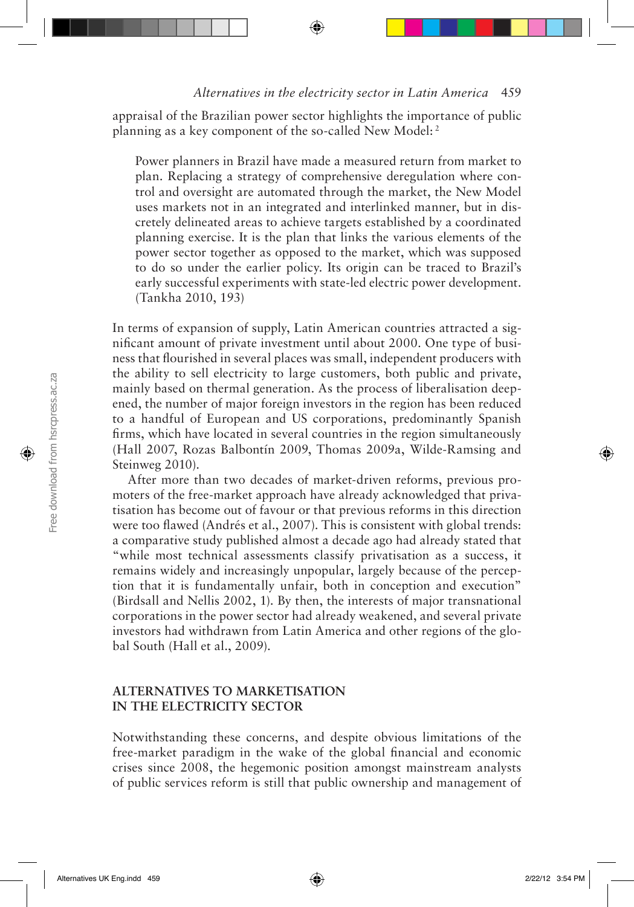appraisal of the Brazilian power sector highlights the importance of public planning as a key component of the so-called New Model: 2

Power planners in Brazil have made a measured return from market to plan. Replacing a strategy of comprehensive deregulation where control and oversight are automated through the market, the New Model uses markets not in an integrated and interlinked manner, but in discretely delineated areas to achieve targets established by a coordinated planning exercise. It is the plan that links the various elements of the power sector together as opposed to the market, which was supposed to do so under the earlier policy. Its origin can be traced to Brazil's early successful experiments with state-led electric power development. (Tankha 2010, 193)

In terms of expansion of supply, Latin American countries attracted a significant amount of private investment until about 2000. One type of business that flourished in several places was small, independent producers with the ability to sell electricity to large customers, both public and private, mainly based on thermal generation. As the process of liberalisation deepened, the number of major foreign investors in the region has been reduced to a handful of European and US corporations, predominantly Spanish firms, which have located in several countries in the region simultaneously (Hall 2007, Rozas Balbontín 2009, Thomas 2009a, Wilde-Ramsing and Steinweg 2010).

After more than two decades of market-driven reforms, previous promoters of the free-market approach have already acknowledged that privatisation has become out of favour or that previous reforms in this direction were too flawed (Andrés et al., 2007). This is consistent with global trends: a comparative study published almost a decade ago had already stated that "while most technical assessments classify privatisation as a success, it remains widely and increasingly unpopular, largely because of the perception that it is fundamentally unfair, both in conception and execution" (Birdsall and Nellis 2002, 1). By then, the interests of major transnational corporations in the power sector had already weakened, and several private investors had withdrawn from Latin America and other regions of the global South (Hall et al., 2009).

## **ALTERNATIVES TO MARKETISATION IN THE ELECTRICITY SECTOR**

Notwithstanding these concerns, and despite obvious limitations of the free-market paradigm in the wake of the global financial and economic crises since 2008, the hegemonic position amongst mainstream analysts of public services reform is still that public ownership and management of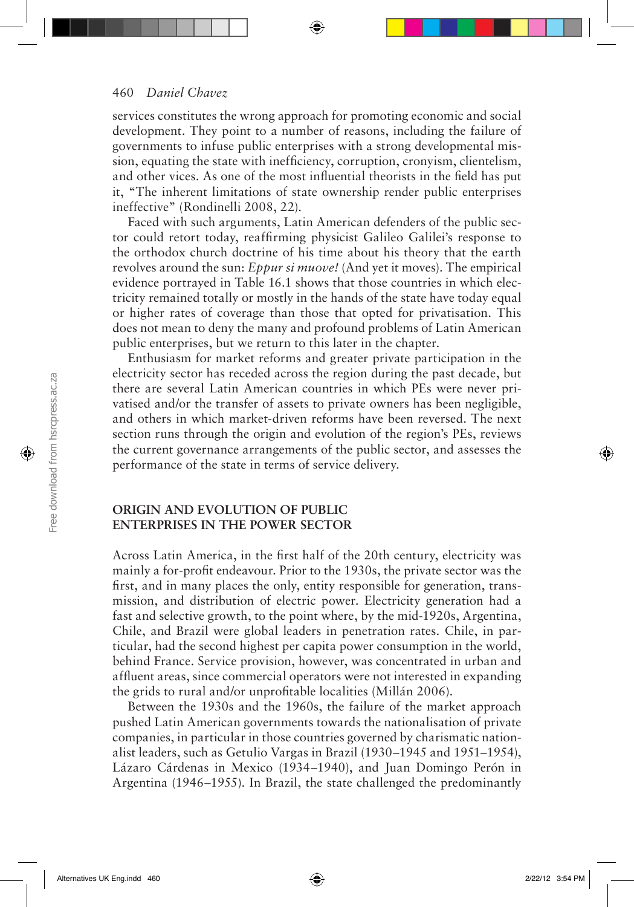services constitutes the wrong approach for promoting economic and social development. They point to a number of reasons, including the failure of governments to infuse public enterprises with a strong developmental mission, equating the state with inefficiency, corruption, cronyism, clientelism, and other vices. As one of the most influential theorists in the field has put it, "The inherent limitations of state ownership render public enterprises ineffective" (Rondinelli 2008, 22).

Faced with such arguments, Latin American defenders of the public sector could retort today, reaffirming physicist Galileo Galilei's response to the orthodox church doctrine of his time about his theory that the earth revolves around the sun: *Eppur si muove!* (And yet it moves). The empirical evidence portrayed in Table 16.1 shows that those countries in which electricity remained totally or mostly in the hands of the state have today equal or higher rates of coverage than those that opted for privatisation. This does not mean to deny the many and profound problems of Latin American public enterprises, but we return to this later in the chapter.

Enthusiasm for market reforms and greater private participation in the electricity sector has receded across the region during the past decade, but there are several Latin American countries in which PEs were never privatised and/or the transfer of assets to private owners has been negligible, and others in which market-driven reforms have been reversed. The next section runs through the origin and evolution of the region's PEs, reviews the current governance arrangements of the public sector, and assesses the performance of the state in terms of service delivery.

#### **ORIGIN AND EVOLUTION OF PUBLIC ENTERPRISES IN THE POWER SECTOR**

Across Latin America, in the first half of the 20th century, electricity was mainly a for-profit endeavour. Prior to the 1930s, the private sector was the first, and in many places the only, entity responsible for generation, transmission, and distribution of electric power. Electricity generation had a fast and selective growth, to the point where, by the mid-1920s, Argentina, Chile, and Brazil were global leaders in penetration rates. Chile, in particular, had the second highest per capita power consumption in the world, behind France. Service provision, however, was concentrated in urban and affluent areas, since commercial operators were not interested in expanding the grids to rural and/or unprofitable localities (Millán 2006).

Between the 1930s and the 1960s, the failure of the market approach pushed Latin American governments towards the nationalisation of private companies, in particular in those countries governed by charismatic nationalist leaders, such as Getulio Vargas in Brazil (1930–1945 and 1951–1954), Lázaro Cárdenas in Mexico (1934–1940), and Juan Domingo Perón in Argentina (1946–1955). In Brazil, the state challenged the predominantly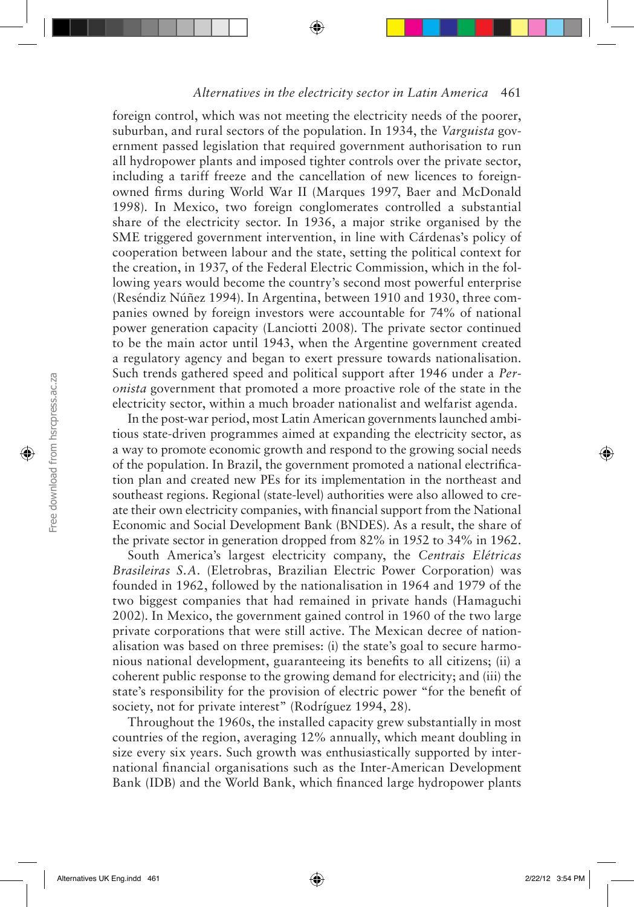foreign control, which was not meeting the electricity needs of the poorer, suburban, and rural sectors of the population. In 1934, the *Varguista* government passed legislation that required government authorisation to run all hydropower plants and imposed tighter controls over the private sector, including a tariff freeze and the cancellation of new licences to foreignowned firms during World War II (Marques 1997, Baer and McDonald 1998). In Mexico, two foreign conglomerates controlled a substantial share of the electricity sector. In 1936, a major strike organised by the SME triggered government intervention, in line with Cárdenas's policy of cooperation between labour and the state, setting the political context for the creation, in 1937, of the Federal Electric Commission, which in the following years would become the country's second most powerful enterprise (Reséndiz Núñez 1994). In Argentina, between 1910 and 1930, three companies owned by foreign investors were accountable for 74% of national power generation capacity (Lanciotti 2008). The private sector continued to be the main actor until 1943, when the Argentine government created a regulatory agency and began to exert pressure towards nationalisation. Such trends gathered speed and political support after 1946 under a *Peronista* government that promoted a more proactive role of the state in the electricity sector, within a much broader nationalist and welfarist agenda.

In the post-war period, most Latin American governments launched ambitious state-driven programmes aimed at expanding the electricity sector, as a way to promote economic growth and respond to the growing social needs of the population. In Brazil, the government promoted a national electrification plan and created new PEs for its implementation in the northeast and southeast regions. Regional (state-level) authorities were also allowed to create their own electricity companies, with financial support from the National Economic and Social Development Bank (BNDES). As a result, the share of the private sector in generation dropped from 82% in 1952 to 34% in 1962.

South America's largest electricity company, the *Centrais Elétricas Brasileiras S.A.* (Eletrobras, Brazilian Electric Power Corporation) was founded in 1962, followed by the nationalisation in 1964 and 1979 of the two biggest companies that had remained in private hands (Hamaguchi 2002). In Mexico, the government gained control in 1960 of the two large private corporations that were still active. The Mexican decree of nationalisation was based on three premises: (i) the state's goal to secure harmonious national development, guaranteeing its benefits to all citizens; (ii) a coherent public response to the growing demand for electricity; and (iii) the state's responsibility for the provision of electric power "for the benefit of society, not for private interest" (Rodríguez 1994, 28).

Throughout the 1960s, the installed capacity grew substantially in most countries of the region, averaging 12% annually, which meant doubling in size every six years. Such growth was enthusiastically supported by international financial organisations such as the Inter-American Development Bank (IDB) and the World Bank, which financed large hydropower plants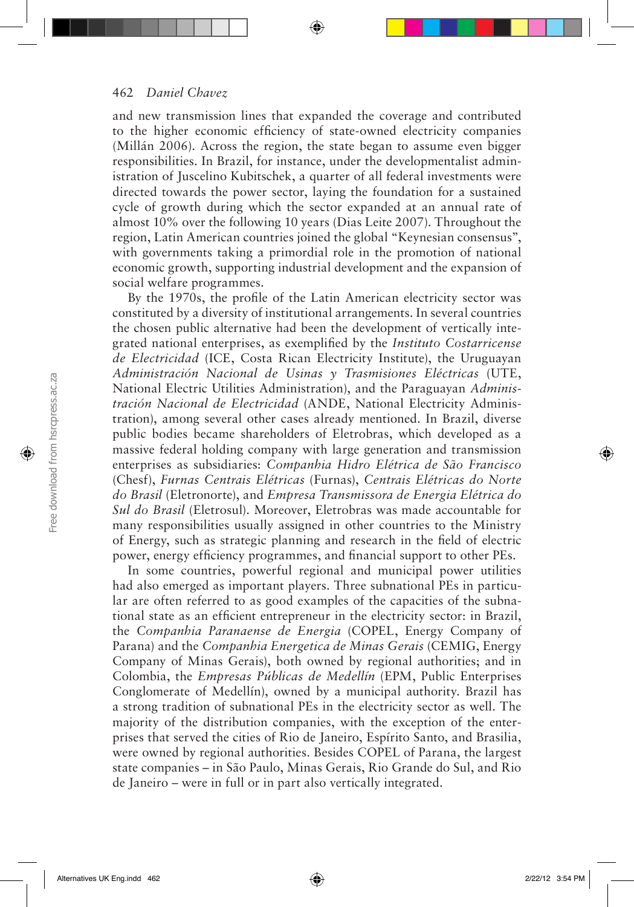and new transmission lines that expanded the coverage and contributed to the higher economic efficiency of state-owned electricity companies (Millán 2006). Across the region, the state began to assume even bigger responsibilities. In Brazil, for instance, under the developmentalist administration of Juscelino Kubitschek, a quarter of all federal investments were directed towards the power sector, laying the foundation for a sustained cycle of growth during which the sector expanded at an annual rate of almost 10% over the following 10 years (Dias Leite 2007). Throughout the region, Latin American countries joined the global "Keynesian consensus", with governments taking a primordial role in the promotion of national economic growth, supporting industrial development and the expansion of social welfare programmes.

By the 1970s, the profile of the Latin American electricity sector was constituted by a diversity of institutional arrangements. In several countries the chosen public alternative had been the development of vertically integrated national enterprises, as exemplified by the *Instituto Costarricense de Electricidad* (ICE, Costa Rican Electricity Institute), the Uruguayan *Administración Nacional de Usinas y Trasmisiones Eléctricas* (UTE, National Electric Utilities Administration), and the Paraguayan *Administración Nacional de Electricidad* (ANDE, National Electricity Administration), among several other cases already mentioned. In Brazil, diverse public bodies became shareholders of Eletrobras, which developed as a massive federal holding company with large generation and transmission enterprises as subsidiaries: *Companhia Hidro Elétrica de São Francisco* (Chesf), *Furnas Centrais Elétricas* (Furnas), *Centrais Elétricas do Norte do Brasil* (Eletronorte), and *Empresa Transmissora de Energia Elétrica do Sul do Brasil* (Eletrosul). Moreover, Eletrobras was made accountable for many responsibilities usually assigned in other countries to the Ministry of Energy, such as strategic planning and research in the field of electric power, energy efficiency programmes, and financial support to other PEs.

In some countries, powerful regional and municipal power utilities had also emerged as important players. Three subnational PEs in particular are often referred to as good examples of the capacities of the subnational state as an efficient entrepreneur in the electricity sector: in Brazil, the *Companhia Paranaense de Energia* (COPEL, Energy Company of Parana) and the *Companhia Energetica de Minas Gerais* (CEMIG, Energy Company of Minas Gerais), both owned by regional authorities; and in Colombia, the *Empresas Públicas de Medellín* (EPM, Public Enterprises Conglomerate of Medellín), owned by a municipal authority. Brazil has a strong tradition of subnational PEs in the electricity sector as well. The majority of the distribution companies, with the exception of the enterprises that served the cities of Rio de Janeiro, Espírito Santo, and Brasilia, were owned by regional authorities. Besides COPEL of Parana, the largest state companies – in São Paulo, Minas Gerais, Rio Grande do Sul, and Rio de Janeiro – were in full or in part also vertically integrated.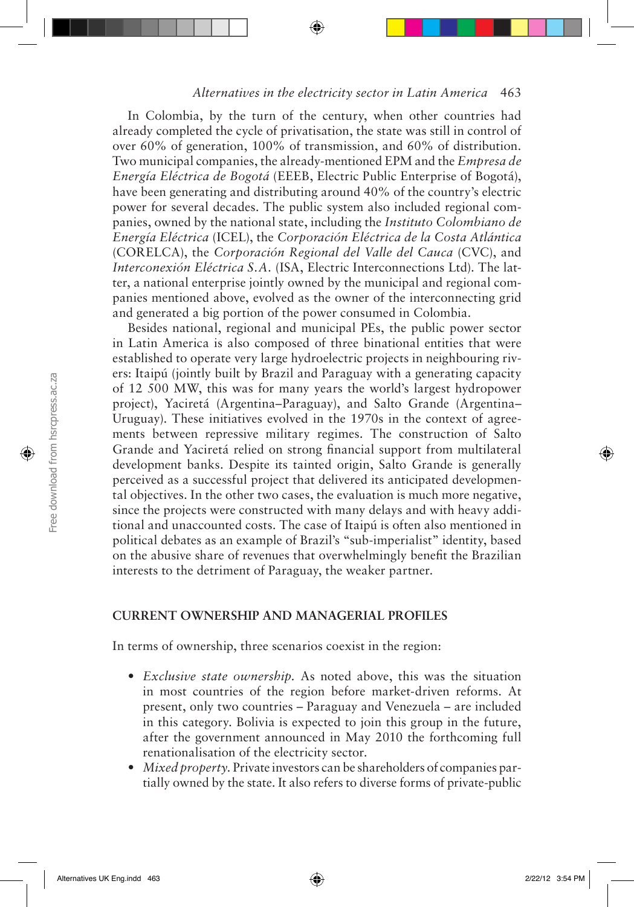In Colombia, by the turn of the century, when other countries had already completed the cycle of privatisation, the state was still in control of over 60% of generation, 100% of transmission, and 60% of distribution. Two municipal companies, the already-mentioned EPM and the *Empresa de Energía Eléctrica de Bogotá* (EEEB, Electric Public Enterprise of Bogotá), have been generating and distributing around 40% of the country's electric power for several decades. The public system also included regional companies, owned by the national state, including the *Instituto Colombiano de Energía Eléctrica* (ICEL), the *Corporación Eléctrica de la Costa Atlántica* (CORELCA), the *Corporación Regional del Valle del Cauca* (CVC), and *Interconexión Eléctrica S.A.* (ISA, Electric Interconnections Ltd). The latter, a national enterprise jointly owned by the municipal and regional companies mentioned above, evolved as the owner of the interconnecting grid and generated a big portion of the power consumed in Colombia.

Besides national, regional and municipal PEs, the public power sector in Latin America is also composed of three binational entities that were established to operate very large hydroelectric projects in neighbouring rivers: Itaipú (jointly built by Brazil and Paraguay with a generating capacity of 12 500 MW, this was for many years the world's largest hydropower project), Yaciretá (Argentina–Paraguay), and Salto Grande (Argentina– Uruguay). These initiatives evolved in the 1970s in the context of agreements between repressive military regimes. The construction of Salto Grande and Yaciretá relied on strong financial support from multilateral development banks. Despite its tainted origin, Salto Grande is generally perceived as a successful project that delivered its anticipated developmental objectives. In the other two cases, the evaluation is much more negative, since the projects were constructed with many delays and with heavy additional and unaccounted costs. The case of Itaipú is often also mentioned in political debates as an example of Brazil's "sub-imperialist" identity, based on the abusive share of revenues that overwhelmingly benefit the Brazilian interests to the detriment of Paraguay, the weaker partner.

## **CURRENT OWNERSHIP AND MANAGERIAL PROFILES**

In terms of ownership, three scenarios coexist in the region:

- *• Exclusive state ownership.* As noted above, this was the situation in most countries of the region before market-driven reforms. At present, only two countries – Paraguay and Venezuela – are included in this category. Bolivia is expected to join this group in the future, after the government announced in May 2010 the forthcoming full renationalisation of the electricity sector.
- *• Mixed property.* Private investors can be shareholders of companies partially owned by the state. It also refers to diverse forms of private-public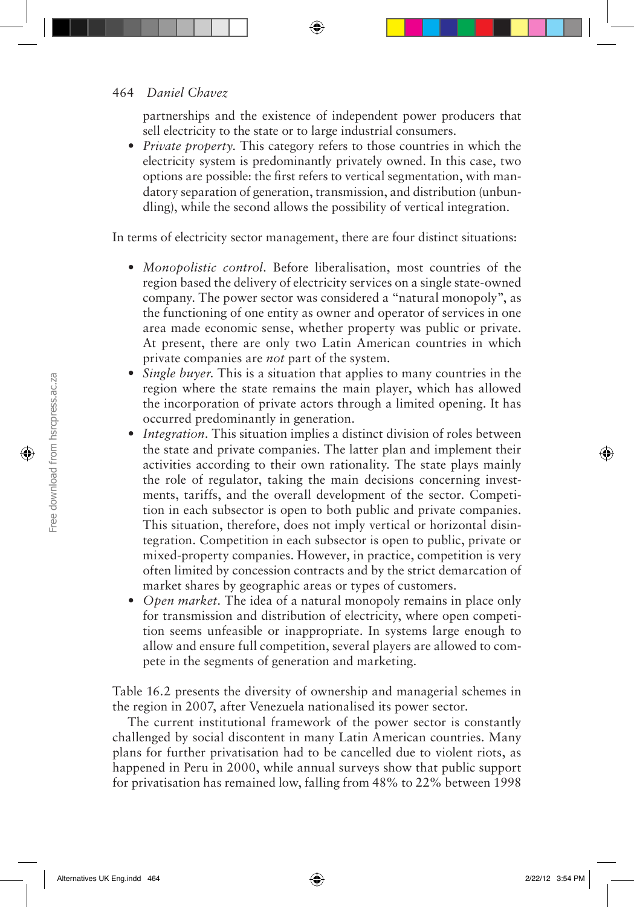partnerships and the existence of independent power producers that sell electricity to the state or to large industrial consumers.

*• Private property.* This category refers to those countries in which the electricity system is predominantly privately owned. In this case, two options are possible: the first refers to vertical segmentation, with mandatory separation of generation, transmission, and distribution (unbundling), while the second allows the possibility of vertical integration.

In terms of electricity sector management, there are four distinct situations:

- *• Monopolistic control.* Before liberalisation, most countries of the region based the delivery of electricity services on a single state-owned company. The power sector was considered a "natural monopoly", as the functioning of one entity as owner and operator of services in one area made economic sense, whether property was public or private. At present, there are only two Latin American countries in which private companies are *not* part of the system.
- *• Single buyer.* This is a situation that applies to many countries in the region where the state remains the main player, which has allowed the incorporation of private actors through a limited opening. It has occurred predominantly in generation.
- *Integration*. This situation implies a distinct division of roles between the state and private companies. The latter plan and implement their activities according to their own rationality. The state plays mainly the role of regulator, taking the main decisions concerning investments, tariffs, and the overall development of the sector. Competition in each subsector is open to both public and private companies. This situation, therefore, does not imply vertical or horizontal disintegration. Competition in each subsector is open to public, private or mixed-property companies. However, in practice, competition is very often limited by concession contracts and by the strict demarcation of market shares by geographic areas or types of customers.
- *• Open market.* The idea of a natural monopoly remains in place only for transmission and distribution of electricity, where open competition seems unfeasible or inappropriate. In systems large enough to allow and ensure full competition, several players are allowed to compete in the segments of generation and marketing.

Table 16.2 presents the diversity of ownership and managerial schemes in the region in 2007, after Venezuela nationalised its power sector.

The current institutional framework of the power sector is constantly challenged by social discontent in many Latin American countries. Many plans for further privatisation had to be cancelled due to violent riots, as happened in Peru in 2000, while annual surveys show that public support for privatisation has remained low, falling from 48% to 22% between 1998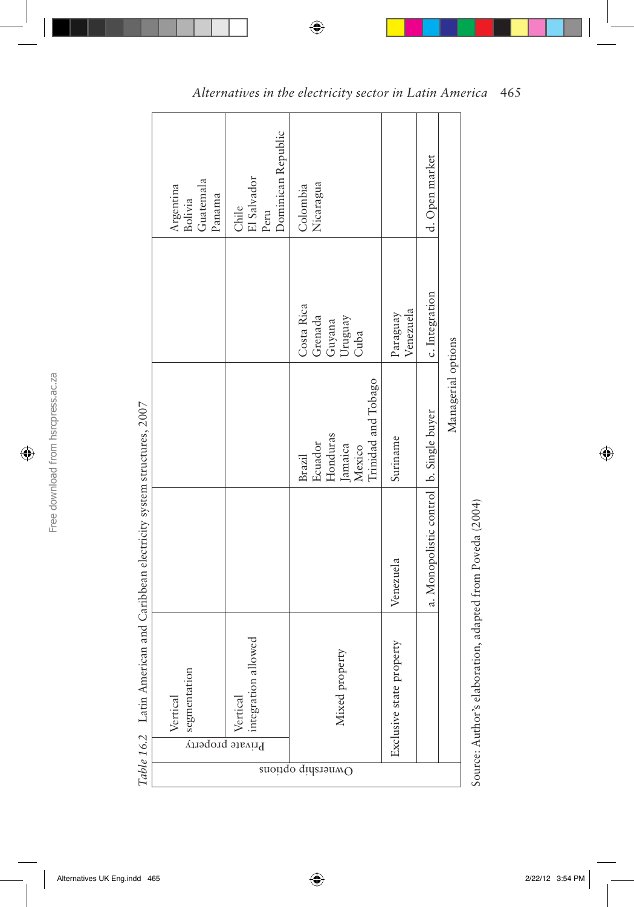|            | Guatemala<br>Argentina<br>Bolivia<br>Panama | Dominican Republic<br>El Salvador<br>Chile<br>Peru    | Nicaragua<br>Colombia                                                            |                          | d. Open market                          |                    |
|------------|---------------------------------------------|-------------------------------------------------------|----------------------------------------------------------------------------------|--------------------------|-----------------------------------------|--------------------|
|            |                                             |                                                       | Costa Rica<br>Grenada<br>Uruguay<br>Guyana<br>Cuba                               | Venezuela<br>Paraguay    | c. Integration                          |                    |
|            |                                             |                                                       | Trinidad and Tobago<br>Honduras<br>Ecuador<br>Jamaica<br>Mexico<br><b>Brazil</b> | Suriname                 |                                         | Managerial options |
|            |                                             |                                                       |                                                                                  | Venezuela                | a. Monopolistic control b. Single buyer |                    |
|            | segmentation<br>Vertical                    | allowed<br>integration<br>Vertica<br>Private property | Mixed property                                                                   | Exclusive state property |                                         |                    |
| 1000011012 |                                             |                                                       | Ownership options                                                                |                          |                                         |                    |
|            |                                             |                                                       |                                                                                  |                          |                                         |                    |

Table 16.2 Latin American and Caribbean electricity system structures, 2007 *Table 16.2* Latin American and Caribbean electricity system structures, 2007

Source: Author's elaboration, adapted from Poveda (2004) Source: Author's elaboration, adapted from Poveda (2004)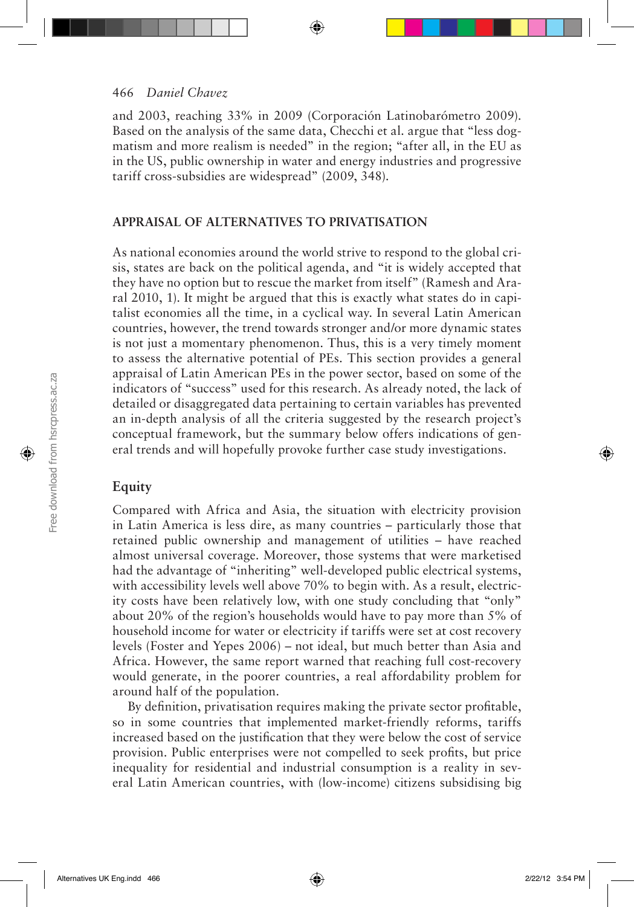and 2003, reaching 33% in 2009 (Corporación Latinobarómetro 2009). Based on the analysis of the same data, Checchi et al. argue that "less dogmatism and more realism is needed" in the region; "after all, in the EU as in the US, public ownership in water and energy industries and progressive tariff cross-subsidies are widespread" (2009, 348).

#### **APPRAISAL OF ALTERNATIVES TO PRIVATISATION**

As national economies around the world strive to respond to the global crisis, states are back on the political agenda, and "it is widely accepted that they have no option but to rescue the market from itself" (Ramesh and Araral 2010, 1). It might be argued that this is exactly what states do in capitalist economies all the time, in a cyclical way. In several Latin American countries, however, the trend towards stronger and/or more dynamic states is not just a momentary phenomenon. Thus, this is a very timely moment to assess the alternative potential of PEs. This section provides a general appraisal of Latin American PEs in the power sector, based on some of the indicators of "success" used for this research. As already noted, the lack of detailed or disaggregated data pertaining to certain variables has prevented an in-depth analysis of all the criteria suggested by the research project's conceptual framework, but the summary below offers indications of general trends and will hopefully provoke further case study investigations.

## **Equity**

Compared with Africa and Asia, the situation with electricity provision in Latin America is less dire, as many countries – particularly those that retained public ownership and management of utilities – have reached almost universal coverage. Moreover, those systems that were marketised had the advantage of "inheriting" well-developed public electrical systems, with accessibility levels well above 70% to begin with. As a result, electricity costs have been relatively low, with one study concluding that "only" about 20% of the region's households would have to pay more than 5% of household income for water or electricity if tariffs were set at cost recovery levels (Foster and Yepes 2006) – not ideal, but much better than Asia and Africa. However, the same report warned that reaching full cost-recovery would generate, in the poorer countries, a real affordability problem for around half of the population.

By definition, privatisation requires making the private sector profitable, so in some countries that implemented market-friendly reforms, tariffs increased based on the justification that they were below the cost of service provision. Public enterprises were not compelled to seek profits, but price inequality for residential and industrial consumption is a reality in several Latin American countries, with (low-income) citizens subsidising big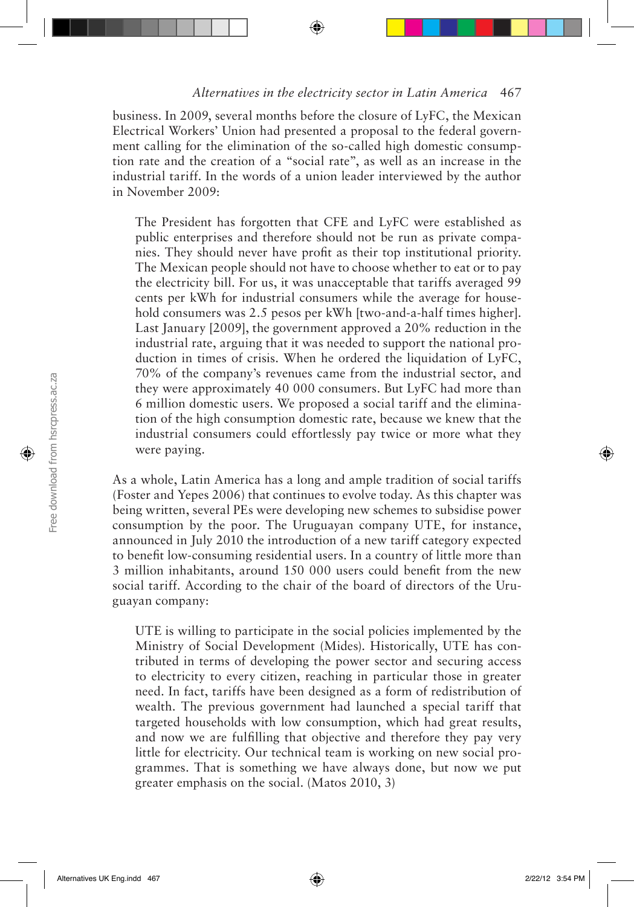business. In 2009, several months before the closure of LyFC, the Mexican Electrical Workers' Union had presented a proposal to the federal government calling for the elimination of the so-called high domestic consumption rate and the creation of a "social rate", as well as an increase in the industrial tariff. In the words of a union leader interviewed by the author in November 2009:

The President has forgotten that CFE and LyFC were established as public enterprises and therefore should not be run as private companies. They should never have profit as their top institutional priority. The Mexican people should not have to choose whether to eat or to pay the electricity bill. For us, it was unacceptable that tariffs averaged 99 cents per kWh for industrial consumers while the average for household consumers was 2.5 pesos per kWh [two-and-a-half times higher]. Last January [2009], the government approved a 20% reduction in the industrial rate, arguing that it was needed to support the national production in times of crisis. When he ordered the liquidation of LyFC, 70% of the company's revenues came from the industrial sector, and they were approximately 40 000 consumers. But LyFC had more than 6 million domestic users. We proposed a social tariff and the elimination of the high consumption domestic rate, because we knew that the industrial consumers could effortlessly pay twice or more what they were paying.

As a whole, Latin America has a long and ample tradition of social tariffs (Foster and Yepes 2006) that continues to evolve today. As this chapter was being written, several PEs were developing new schemes to subsidise power consumption by the poor. The Uruguayan company UTE, for instance, announced in July 2010 the introduction of a new tariff category expected to benefit low-consuming residential users. In a country of little more than 3 million inhabitants, around 150 000 users could benefit from the new social tariff. According to the chair of the board of directors of the Uruguayan company:

UTE is willing to participate in the social policies implemented by the Ministry of Social Development (Mides). Historically, UTE has contributed in terms of developing the power sector and securing access to electricity to every citizen, reaching in particular those in greater need. In fact, tariffs have been designed as a form of redistribution of wealth. The previous government had launched a special tariff that targeted households with low consumption, which had great results, and now we are fulfilling that objective and therefore they pay very little for electricity. Our technical team is working on new social programmes. That is something we have always done, but now we put greater emphasis on the social. (Matos 2010, 3)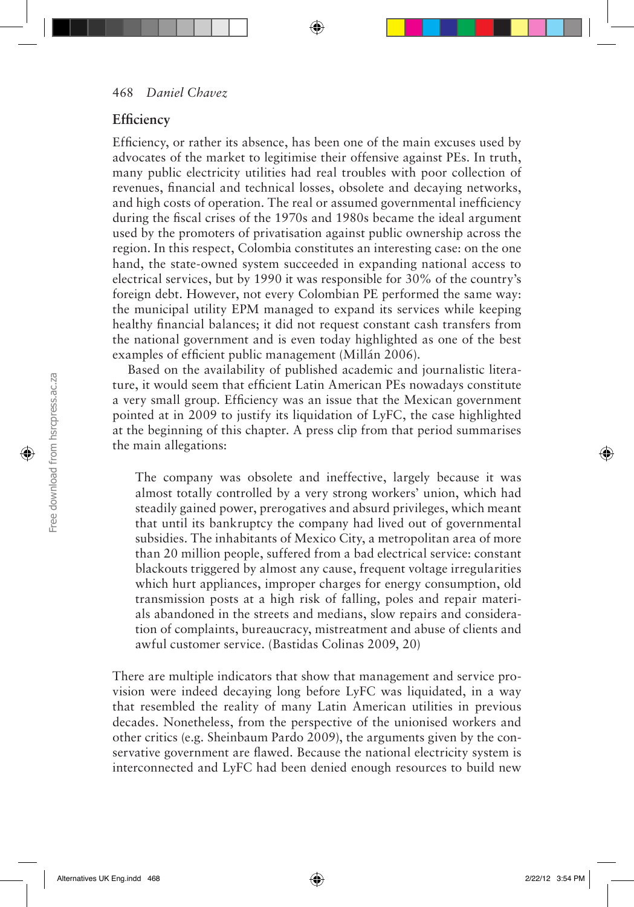## **Efficiency**

Efficiency, or rather its absence, has been one of the main excuses used by advocates of the market to legitimise their offensive against PEs. In truth, many public electricity utilities had real troubles with poor collection of revenues, financial and technical losses, obsolete and decaying networks, and high costs of operation. The real or assumed governmental inefficiency during the fiscal crises of the 1970s and 1980s became the ideal argument used by the promoters of privatisation against public ownership across the region. In this respect, Colombia constitutes an interesting case: on the one hand, the state-owned system succeeded in expanding national access to electrical services, but by 1990 it was responsible for 30% of the country's foreign debt. However, not every Colombian PE performed the same way: the municipal utility EPM managed to expand its services while keeping healthy financial balances; it did not request constant cash transfers from the national government and is even today highlighted as one of the best examples of efficient public management (Millán 2006).

Based on the availability of published academic and journalistic literature, it would seem that efficient Latin American PEs nowadays constitute a very small group. Efficiency was an issue that the Mexican government pointed at in 2009 to justify its liquidation of LyFC, the case highlighted at the beginning of this chapter. A press clip from that period summarises the main allegations:

The company was obsolete and ineffective, largely because it was almost totally controlled by a very strong workers' union, which had steadily gained power, prerogatives and absurd privileges, which meant that until its bankruptcy the company had lived out of governmental subsidies. The inhabitants of Mexico City, a metropolitan area of more than 20 million people, suffered from a bad electrical service: constant blackouts triggered by almost any cause, frequent voltage irregularities which hurt appliances, improper charges for energy consumption, old transmission posts at a high risk of falling, poles and repair materials abandoned in the streets and medians, slow repairs and consideration of complaints, bureaucracy, mistreatment and abuse of clients and awful customer service. (Bastidas Colinas 2009, 20)

There are multiple indicators that show that management and service provision were indeed decaying long before LyFC was liquidated, in a way that resembled the reality of many Latin American utilities in previous decades. Nonetheless, from the perspective of the unionised workers and other critics (e.g. Sheinbaum Pardo 2009), the arguments given by the conservative government are flawed. Because the national electricity system is interconnected and LyFC had been denied enough resources to build new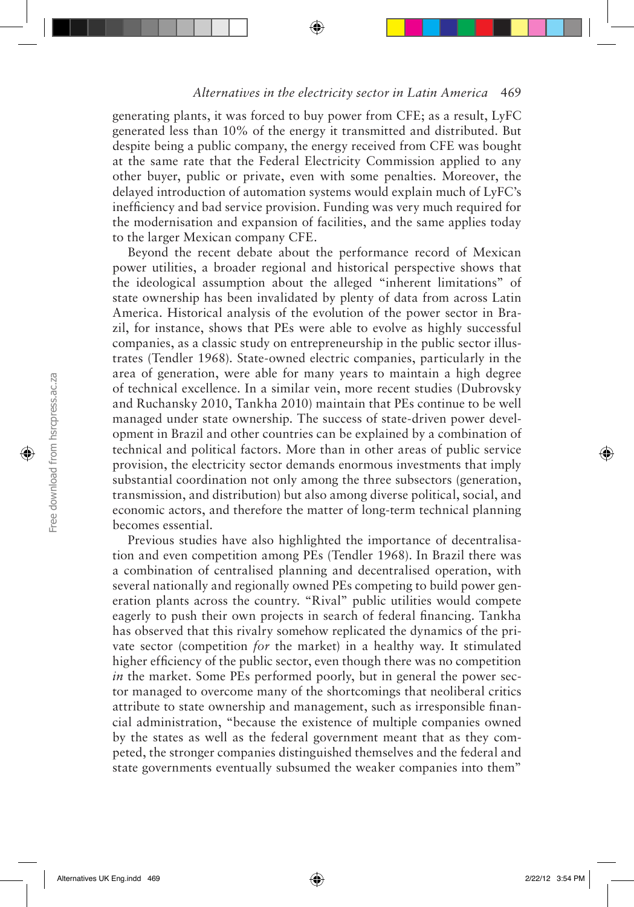generating plants, it was forced to buy power from CFE; as a result, LyFC generated less than 10% of the energy it transmitted and distributed. But despite being a public company, the energy received from CFE was bought at the same rate that the Federal Electricity Commission applied to any other buyer, public or private, even with some penalties. Moreover, the delayed introduction of automation systems would explain much of LyFC's inefficiency and bad service provision. Funding was very much required for the modernisation and expansion of facilities, and the same applies today to the larger Mexican company CFE.

Beyond the recent debate about the performance record of Mexican power utilities, a broader regional and historical perspective shows that the ideological assumption about the alleged "inherent limitations" of state ownership has been invalidated by plenty of data from across Latin America. Historical analysis of the evolution of the power sector in Brazil, for instance, shows that PEs were able to evolve as highly successful companies, as a classic study on entrepreneurship in the public sector illustrates (Tendler 1968). State-owned electric companies, particularly in the area of generation, were able for many years to maintain a high degree of technical excellence. In a similar vein, more recent studies (Dubrovsky and Ruchansky 2010, Tankha 2010) maintain that PEs continue to be well managed under state ownership. The success of state-driven power development in Brazil and other countries can be explained by a combination of technical and political factors. More than in other areas of public service provision, the electricity sector demands enormous investments that imply substantial coordination not only among the three subsectors (generation, transmission, and distribution) but also among diverse political, social, and economic actors, and therefore the matter of long-term technical planning becomes essential.

Previous studies have also highlighted the importance of decentralisation and even competition among PEs (Tendler 1968). In Brazil there was a combination of centralised planning and decentralised operation, with several nationally and regionally owned PEs competing to build power generation plants across the country. "Rival" public utilities would compete eagerly to push their own projects in search of federal financing. Tankha has observed that this rivalry somehow replicated the dynamics of the private sector (competition *for* the market) in a healthy way. It stimulated higher efficiency of the public sector, even though there was no competition *in* the market. Some PEs performed poorly, but in general the power sector managed to overcome many of the shortcomings that neoliberal critics attribute to state ownership and management, such as irresponsible financial administration, "because the existence of multiple companies owned by the states as well as the federal government meant that as they competed, the stronger companies distinguished themselves and the federal and state governments eventually subsumed the weaker companies into them"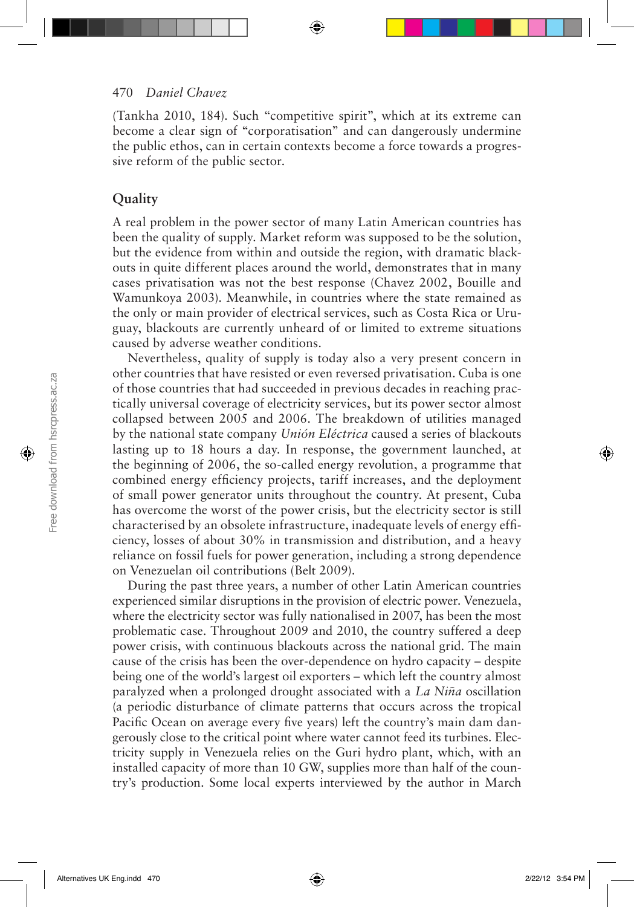(Tankha 2010, 184). Such "competitive spirit", which at its extreme can become a clear sign of "corporatisation" and can dangerously undermine the public ethos, can in certain contexts become a force towards a progressive reform of the public sector.

## **Quality**

A real problem in the power sector of many Latin American countries has been the quality of supply. Market reform was supposed to be the solution, but the evidence from within and outside the region, with dramatic blackouts in quite different places around the world, demonstrates that in many cases privatisation was not the best response (Chavez 2002, Bouille and Wamunkoya 2003). Meanwhile, in countries where the state remained as the only or main provider of electrical services, such as Costa Rica or Uruguay, blackouts are currently unheard of or limited to extreme situations caused by adverse weather conditions.

Nevertheless, quality of supply is today also a very present concern in other countries that have resisted or even reversed privatisation. Cuba is one of those countries that had succeeded in previous decades in reaching practically universal coverage of electricity services, but its power sector almost collapsed between 2005 and 2006. The breakdown of utilities managed by the national state company *Unión Eléctrica* caused a series of blackouts lasting up to 18 hours a day. In response, the government launched, at the beginning of 2006, the so-called energy revolution, a programme that combined energy efficiency projects, tariff increases, and the deployment of small power generator units throughout the country. At present, Cuba has overcome the worst of the power crisis, but the electricity sector is still characterised by an obsolete infrastructure, inadequate levels of energy efficiency, losses of about 30% in transmission and distribution, and a heavy reliance on fossil fuels for power generation, including a strong dependence on Venezuelan oil contributions (Belt 2009).

During the past three years, a number of other Latin American countries experienced similar disruptions in the provision of electric power. Venezuela, where the electricity sector was fully nationalised in 2007, has been the most problematic case. Throughout 2009 and 2010, the country suffered a deep power crisis, with continuous blackouts across the national grid. The main cause of the crisis has been the over-dependence on hydro capacity – despite being one of the world's largest oil exporters – which left the country almost paralyzed when a prolonged drought associated with a *La Niña* oscillation (a periodic disturbance of climate patterns that occurs across the tropical Pacific Ocean on average every five years) left the country's main dam dangerously close to the critical point where water cannot feed its turbines. Electricity supply in Venezuela relies on the Guri hydro plant, which, with an installed capacity of more than 10 GW, supplies more than half of the country's production. Some local experts interviewed by the author in March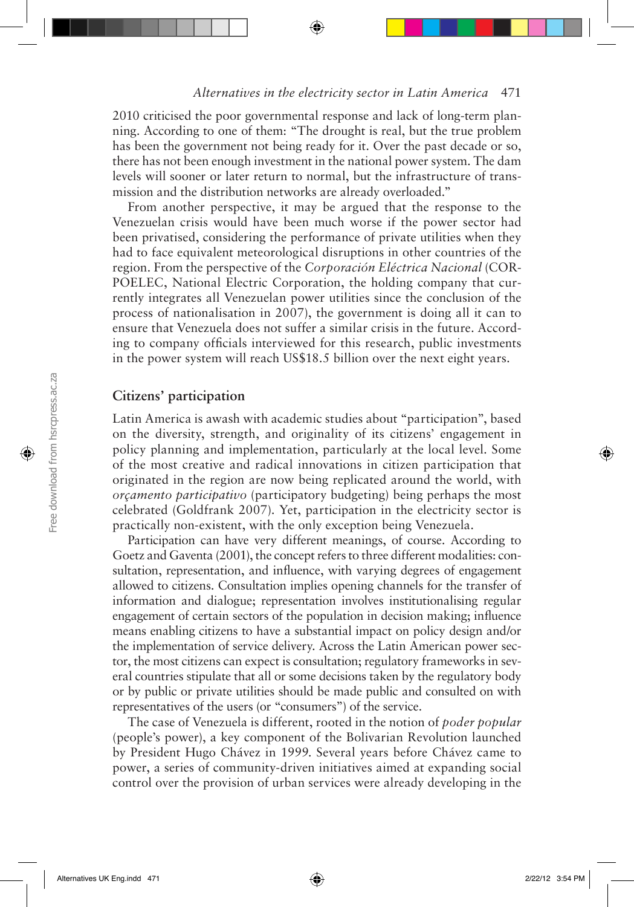2010 criticised the poor governmental response and lack of long-term planning. According to one of them: "The drought is real, but the true problem has been the government not being ready for it. Over the past decade or so, there has not been enough investment in the national power system. The dam levels will sooner or later return to normal, but the infrastructure of transmission and the distribution networks are already overloaded."

From another perspective, it may be argued that the response to the Venezuelan crisis would have been much worse if the power sector had been privatised, considering the performance of private utilities when they had to face equivalent meteorological disruptions in other countries of the region. From the perspective of the *Corporación Eléctrica Nacional* (COR-POELEC, National Electric Corporation, the holding company that currently integrates all Venezuelan power utilities since the conclusion of the process of nationalisation in 2007), the government is doing all it can to ensure that Venezuela does not suffer a similar crisis in the future. According to company officials interviewed for this research, public investments in the power system will reach US\$18.5 billion over the next eight years.

## **Citizens' participation**

Latin America is awash with academic studies about "participation", based on the diversity, strength, and originality of its citizens' engagement in policy planning and implementation, particularly at the local level. Some of the most creative and radical innovations in citizen participation that originated in the region are now being replicated around the world, with *orçamento participativo* (participatory budgeting) being perhaps the most celebrated (Goldfrank 2007). Yet, participation in the electricity sector is practically non-existent, with the only exception being Venezuela.

Participation can have very different meanings, of course. According to Goetz and Gaventa (2001), the concept refers to three different modalities: consultation, representation, and influence, with varying degrees of engagement allowed to citizens. Consultation implies opening channels for the transfer of information and dialogue; representation involves institutionalising regular engagement of certain sectors of the population in decision making; influence means enabling citizens to have a substantial impact on policy design and/or the implementation of service delivery. Across the Latin American power sector, the most citizens can expect is consultation; regulatory frameworks in several countries stipulate that all or some decisions taken by the regulatory body or by public or private utilities should be made public and consulted on with representatives of the users (or "consumers") of the service.

The case of Venezuela is different, rooted in the notion of *poder popular* (people's power), a key component of the Bolivarian Revolution launched by President Hugo Chávez in 1999. Several years before Chávez came to power, a series of community-driven initiatives aimed at expanding social control over the provision of urban services were already developing in the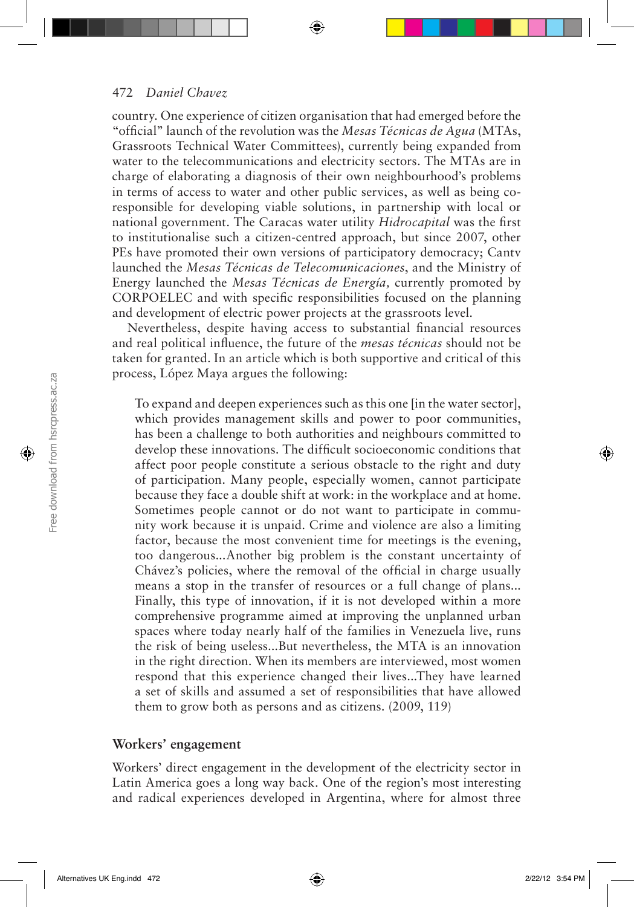country. One experience of citizen organisation that had emerged before the "official" launch of the revolution was the *Mesas Técnicas de Agua* (MTAs, Grassroots Technical Water Committees), currently being expanded from water to the telecommunications and electricity sectors. The MTAs are in charge of elaborating a diagnosis of their own neighbourhood's problems in terms of access to water and other public services, as well as being coresponsible for developing viable solutions, in partnership with local or national government. The Caracas water utility *Hidrocapital* was the first to institutionalise such a citizen-centred approach, but since 2007, other PEs have promoted their own versions of participatory democracy; Cantv launched the *Mesas Técnicas de Telecomunicaciones*, and the Ministry of Energy launched the *Mesas Técnicas de Energía,* currently promoted by CORPOELEC and with specific responsibilities focused on the planning and development of electric power projects at the grassroots level.

Nevertheless, despite having access to substantial financial resources and real political influence, the future of the *mesas técnicas* should not be taken for granted. In an article which is both supportive and critical of this process, López Maya argues the following:

To expand and deepen experiences such as this one [in the water sector], which provides management skills and power to poor communities, has been a challenge to both authorities and neighbours committed to develop these innovations. The difficult socioeconomic conditions that affect poor people constitute a serious obstacle to the right and duty of participation. Many people, especially women, cannot participate because they face a double shift at work: in the workplace and at home. Sometimes people cannot or do not want to participate in community work because it is unpaid. Crime and violence are also a limiting factor, because the most convenient time for meetings is the evening, too dangerous...Another big problem is the constant uncertainty of Chávez's policies, where the removal of the official in charge usually means a stop in the transfer of resources or a full change of plans... Finally, this type of innovation, if it is not developed within a more comprehensive programme aimed at improving the unplanned urban spaces where today nearly half of the families in Venezuela live, runs the risk of being useless...But nevertheless, the MTA is an innovation in the right direction. When its members are interviewed, most women respond that this experience changed their lives...They have learned a set of skills and assumed a set of responsibilities that have allowed them to grow both as persons and as citizens. (2009, 119)

## **Workers' engagement**

Workers' direct engagement in the development of the electricity sector in Latin America goes a long way back. One of the region's most interesting and radical experiences developed in Argentina, where for almost three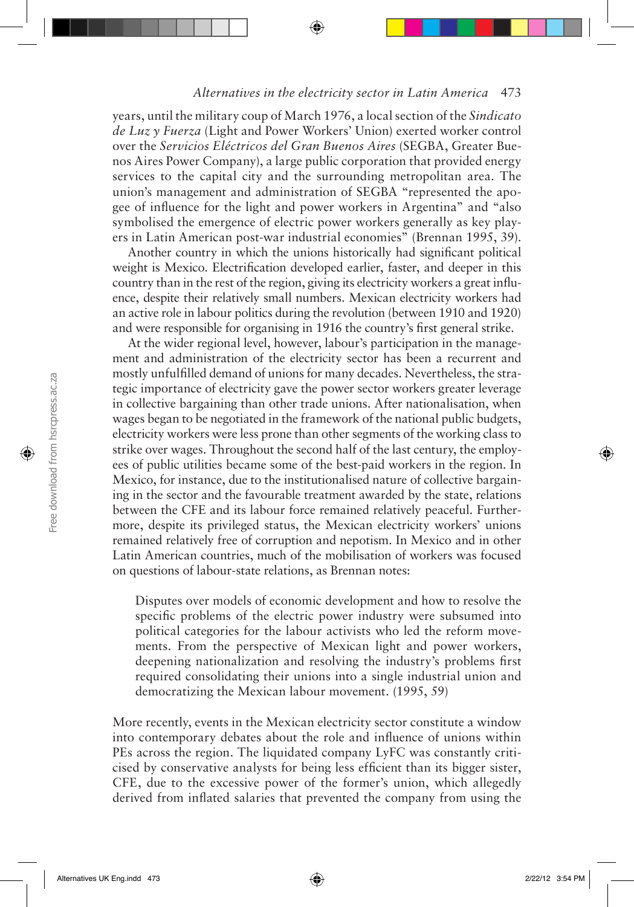years, until the military coup of March 1976, a local section of the *Sindicato de Luz y Fuerza* (Light and Power Workers' Union) exerted worker control over the *Servicios Eléctricos del Gran Buenos Aires* (SEGBA, Greater Buenos Aires Power Company), a large public corporation that provided energy services to the capital city and the surrounding metropolitan area. The union's management and administration of SEGBA "represented the apogee of influence for the light and power workers in Argentina" and "also symbolised the emergence of electric power workers generally as key players in Latin American post-war industrial economies" (Brennan 1995, 39).

Another country in which the unions historically had significant political weight is Mexico. Electrification developed earlier, faster, and deeper in this country than in the rest of the region, giving its electricity workers a great influence, despite their relatively small numbers. Mexican electricity workers had an active role in labour politics during the revolution (between 1910 and 1920) and were responsible for organising in 1916 the country's first general strike.

At the wider regional level, however, labour's participation in the management and administration of the electricity sector has been a recurrent and mostly unfulfilled demand of unions for many decades. Nevertheless, the strategic importance of electricity gave the power sector workers greater leverage in collective bargaining than other trade unions. After nationalisation, when wages began to be negotiated in the framework of the national public budgets, electricity workers were less prone than other segments of the working class to strike over wages. Throughout the second half of the last century, the employees of public utilities became some of the best-paid workers in the region. In Mexico, for instance, due to the institutionalised nature of collective bargaining in the sector and the favourable treatment awarded by the state, relations between the CFE and its labour force remained relatively peaceful. Furthermore, despite its privileged status, the Mexican electricity workers' unions remained relatively free of corruption and nepotism. In Mexico and in other Latin American countries, much of the mobilisation of workers was focused on questions of labour-state relations, as Brennan notes:

Disputes over models of economic development and how to resolve the specific problems of the electric power industry were subsumed into political categories for the labour activists who led the reform movements. From the perspective of Mexican light and power workers, deepening nationalization and resolving the industry's problems first required consolidating their unions into a single industrial union and democratizing the Mexican labour movement. (1995, 59)

More recently, events in the Mexican electricity sector constitute a window into contemporary debates about the role and influence of unions within PEs across the region. The liquidated company LyFC was constantly criticised by conservative analysts for being less efficient than its bigger sister, CFE, due to the excessive power of the former's union, which allegedly derived from inflated salaries that prevented the company from using the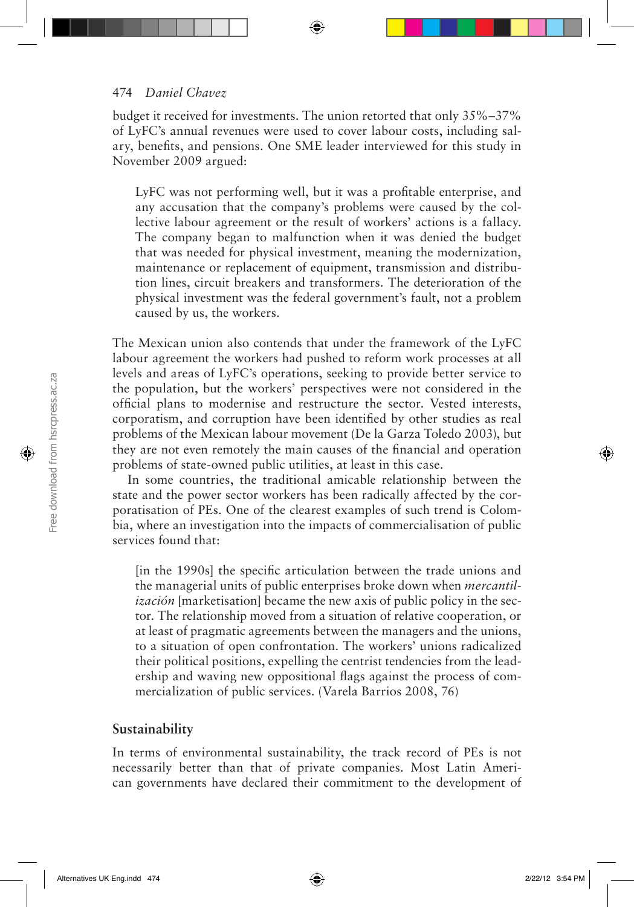#### 474 *Daniel Chavez*

budget it received for investments. The union retorted that only 35%–37% of LyFC's annual revenues were used to cover labour costs, including salary, benefits, and pensions. One SME leader interviewed for this study in November 2009 argued:

LyFC was not performing well, but it was a profitable enterprise, and any accusation that the company's problems were caused by the collective labour agreement or the result of workers' actions is a fallacy. The company began to malfunction when it was denied the budget that was needed for physical investment, meaning the modernization, maintenance or replacement of equipment, transmission and distribution lines, circuit breakers and transformers. The deterioration of the physical investment was the federal government's fault, not a problem caused by us, the workers.

The Mexican union also contends that under the framework of the LyFC labour agreement the workers had pushed to reform work processes at all levels and areas of LyFC's operations, seeking to provide better service to the population, but the workers' perspectives were not considered in the official plans to modernise and restructure the sector. Vested interests, corporatism, and corruption have been identified by other studies as real problems of the Mexican labour movement (De la Garza Toledo 2003), but they are not even remotely the main causes of the financial and operation problems of state-owned public utilities, at least in this case.

In some countries, the traditional amicable relationship between the state and the power sector workers has been radically affected by the corporatisation of PEs. One of the clearest examples of such trend is Colombia, where an investigation into the impacts of commercialisation of public services found that:

[in the 1990s] the specific articulation between the trade unions and the managerial units of public enterprises broke down when *mercantilización* [marketisation] became the new axis of public policy in the sector. The relationship moved from a situation of relative cooperation, or at least of pragmatic agreements between the managers and the unions, to a situation of open confrontation. The workers' unions radicalized their political positions, expelling the centrist tendencies from the leadership and waving new oppositional flags against the process of commercialization of public services. (Varela Barrios 2008, 76)

#### **Sustainability**

In terms of environmental sustainability, the track record of PEs is not necessarily better than that of private companies. Most Latin American governments have declared their commitment to the development of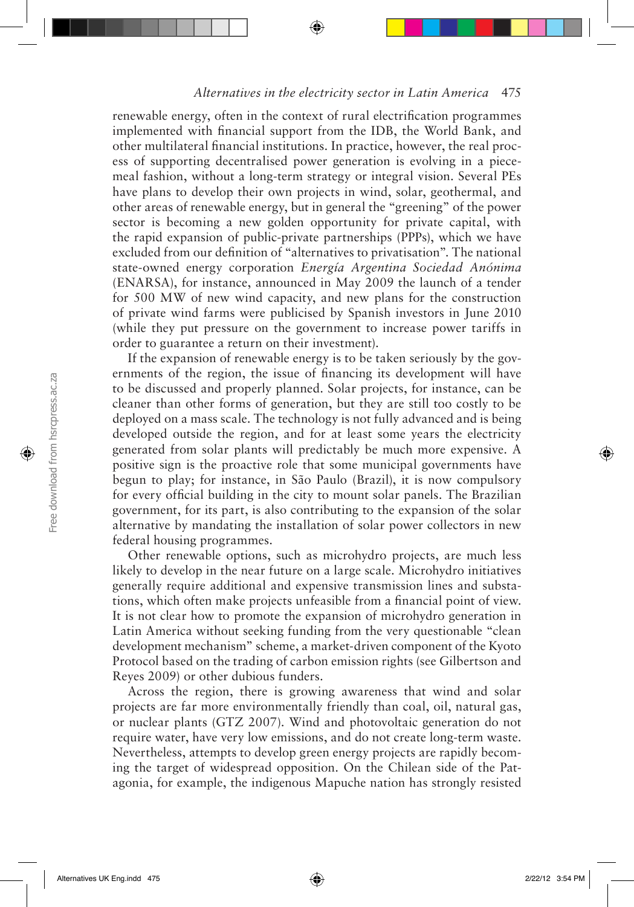renewable energy, often in the context of rural electrification programmes implemented with financial support from the IDB, the World Bank, and other multilateral financial institutions. In practice, however, the real process of supporting decentralised power generation is evolving in a piecemeal fashion, without a long-term strategy or integral vision. Several PEs have plans to develop their own projects in wind, solar, geothermal, and other areas of renewable energy, but in general the "greening" of the power sector is becoming a new golden opportunity for private capital, with the rapid expansion of public-private partnerships (PPPs), which we have excluded from our definition of "alternatives to privatisation". The national state-owned energy corporation *Energía Argentina Sociedad Anónima* (ENARSA), for instance, announced in May 2009 the launch of a tender for 500 MW of new wind capacity, and new plans for the construction of private wind farms were publicised by Spanish investors in June 2010 (while they put pressure on the government to increase power tariffs in order to guarantee a return on their investment).

If the expansion of renewable energy is to be taken seriously by the governments of the region, the issue of financing its development will have to be discussed and properly planned. Solar projects, for instance, can be cleaner than other forms of generation, but they are still too costly to be deployed on a mass scale. The technology is not fully advanced and is being developed outside the region, and for at least some years the electricity generated from solar plants will predictably be much more expensive. A positive sign is the proactive role that some municipal governments have begun to play; for instance, in São Paulo (Brazil), it is now compulsory for every official building in the city to mount solar panels. The Brazilian government, for its part, is also contributing to the expansion of the solar alternative by mandating the installation of solar power collectors in new federal housing programmes.

Other renewable options, such as microhydro projects, are much less likely to develop in the near future on a large scale. Microhydro initiatives generally require additional and expensive transmission lines and substations, which often make projects unfeasible from a financial point of view. It is not clear how to promote the expansion of microhydro generation in Latin America without seeking funding from the very questionable "clean development mechanism" scheme, a market-driven component of the Kyoto Protocol based on the trading of carbon emission rights (see Gilbertson and Reyes 2009) or other dubious funders.

Across the region, there is growing awareness that wind and solar projects are far more environmentally friendly than coal, oil, natural gas, or nuclear plants (GTZ 2007). Wind and photovoltaic generation do not require water, have very low emissions, and do not create long-term waste. Nevertheless, attempts to develop green energy projects are rapidly becoming the target of widespread opposition. On the Chilean side of the Patagonia, for example, the indigenous Mapuche nation has strongly resisted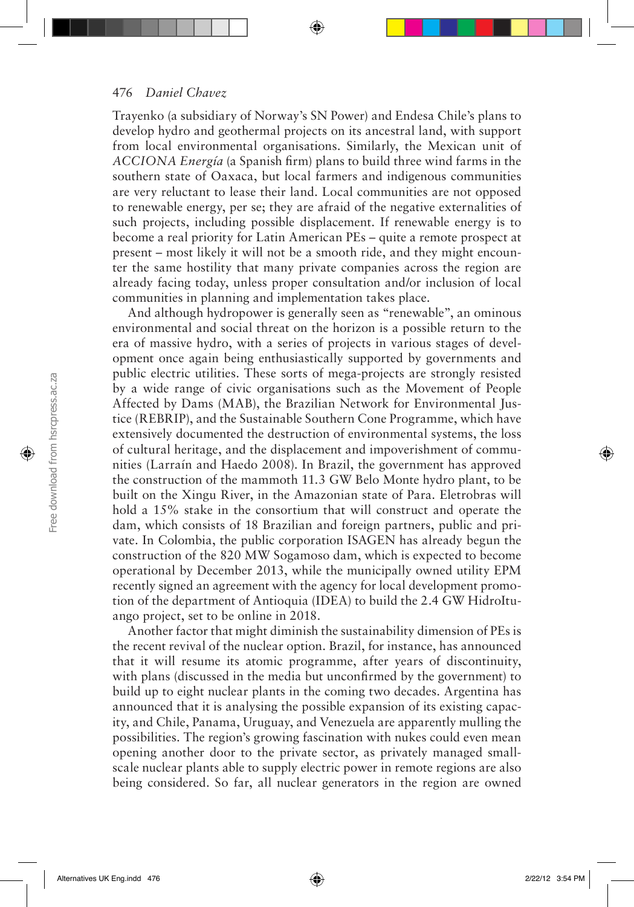Trayenko (a subsidiary of Norway's SN Power) and Endesa Chile's plans to develop hydro and geothermal projects on its ancestral land, with support from local environmental organisations. Similarly, the Mexican unit of *ACCIONA Energía* (a Spanish firm) plans to build three wind farms in the southern state of Oaxaca, but local farmers and indigenous communities are very reluctant to lease their land. Local communities are not opposed to renewable energy, per se; they are afraid of the negative externalities of such projects, including possible displacement. If renewable energy is to become a real priority for Latin American PEs – quite a remote prospect at present – most likely it will not be a smooth ride, and they might encounter the same hostility that many private companies across the region are already facing today, unless proper consultation and/or inclusion of local communities in planning and implementation takes place.

And although hydropower is generally seen as "renewable", an ominous environmental and social threat on the horizon is a possible return to the era of massive hydro, with a series of projects in various stages of development once again being enthusiastically supported by governments and public electric utilities. These sorts of mega-projects are strongly resisted by a wide range of civic organisations such as the Movement of People Affected by Dams (MAB), the Brazilian Network for Environmental Justice (REBRIP), and the Sustainable Southern Cone Programme, which have extensively documented the destruction of environmental systems, the loss of cultural heritage, and the displacement and impoverishment of communities (Larraín and Haedo 2008). In Brazil, the government has approved the construction of the mammoth 11.3 GW Belo Monte hydro plant, to be built on the Xingu River, in the Amazonian state of Para. Eletrobras will hold a 15% stake in the consortium that will construct and operate the dam, which consists of 18 Brazilian and foreign partners, public and private. In Colombia, the public corporation ISAGEN has already begun the construction of the 820 MW Sogamoso dam, which is expected to become operational by December 2013, while the municipally owned utility EPM recently signed an agreement with the agency for local development promotion of the department of Antioquia (IDEA) to build the 2.4 GW HidroItuango project, set to be online in 2018.

Another factor that might diminish the sustainability dimension of PEs is the recent revival of the nuclear option. Brazil, for instance, has announced that it will resume its atomic programme, after years of discontinuity, with plans (discussed in the media but unconfirmed by the government) to build up to eight nuclear plants in the coming two decades. Argentina has announced that it is analysing the possible expansion of its existing capacity, and Chile, Panama, Uruguay, and Venezuela are apparently mulling the possibilities. The region's growing fascination with nukes could even mean opening another door to the private sector, as privately managed smallscale nuclear plants able to supply electric power in remote regions are also being considered. So far, all nuclear generators in the region are owned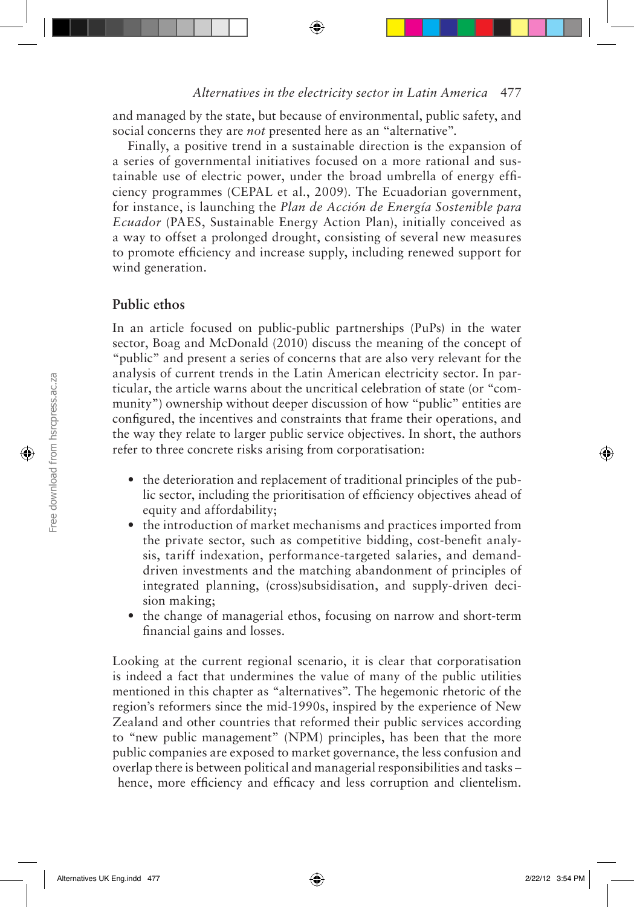and managed by the state, but because of environmental, public safety, and social concerns they are *not* presented here as an "alternative".

Finally, a positive trend in a sustainable direction is the expansion of a series of governmental initiatives focused on a more rational and sustainable use of electric power, under the broad umbrella of energy efficiency programmes (CEPAL et al., 2009). The Ecuadorian government, for instance, is launching the *Plan de Acción de Energía Sostenible para Ecuador* (PAES, Sustainable Energy Action Plan), initially conceived as a way to offset a prolonged drought, consisting of several new measures to promote efficiency and increase supply, including renewed support for wind generation.

## **Public ethos**

In an article focused on public-public partnerships (PuPs) in the water sector, Boag and McDonald (2010) discuss the meaning of the concept of "public" and present a series of concerns that are also very relevant for the analysis of current trends in the Latin American electricity sector. In particular, the article warns about the uncritical celebration of state (or "community") ownership without deeper discussion of how "public" entities are configured, the incentives and constraints that frame their operations, and the way they relate to larger public service objectives. In short, the authors refer to three concrete risks arising from corporatisation:

- the deterioration and replacement of traditional principles of the public sector, including the prioritisation of efficiency objectives ahead of equity and affordability;
- the introduction of market mechanisms and practices imported from the private sector, such as competitive bidding, cost-benefit analysis, tariff indexation, performance-targeted salaries, and demanddriven investments and the matching abandonment of principles of integrated planning, (cross)subsidisation, and supply-driven decision making;
- the change of managerial ethos, focusing on narrow and short-term financial gains and losses.

Looking at the current regional scenario, it is clear that corporatisation is indeed a fact that undermines the value of many of the public utilities mentioned in this chapter as "alternatives". The hegemonic rhetoric of the region's reformers since the mid-1990s, inspired by the experience of New Zealand and other countries that reformed their public services according to "new public management" (NPM) principles, has been that the more public companies are exposed to market governance, the less confusion and overlap there is between political and managerial responsibilities and tasks – hence, more efficiency and efficacy and less corruption and clientelism.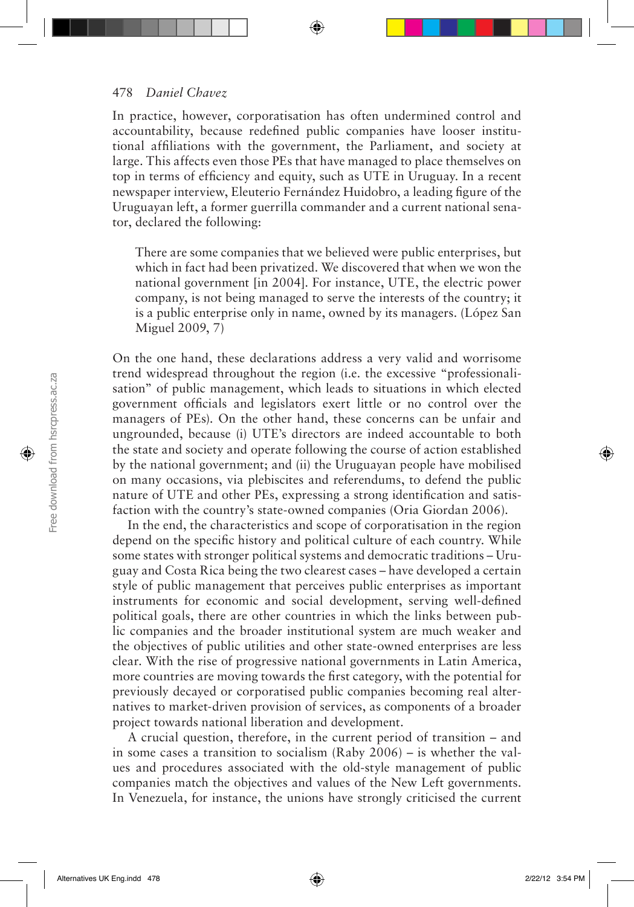In practice, however, corporatisation has often undermined control and accountability, because redefined public companies have looser institutional affiliations with the government, the Parliament, and society at large. This affects even those PEs that have managed to place themselves on top in terms of efficiency and equity, such as UTE in Uruguay. In a recent newspaper interview, Eleuterio Fernández Huidobro, a leading figure of the Uruguayan left, a former guerrilla commander and a current national senator, declared the following:

There are some companies that we believed were public enterprises, but which in fact had been privatized. We discovered that when we won the national government [in 2004]. For instance, UTE, the electric power company, is not being managed to serve the interests of the country; it is a public enterprise only in name, owned by its managers. (López San Miguel 2009, 7)

On the one hand, these declarations address a very valid and worrisome trend widespread throughout the region (i.e. the excessive "professionalisation" of public management, which leads to situations in which elected government officials and legislators exert little or no control over the managers of PEs). On the other hand, these concerns can be unfair and ungrounded, because (i) UTE's directors are indeed accountable to both the state and society and operate following the course of action established by the national government; and (ii) the Uruguayan people have mobilised on many occasions, via plebiscites and referendums, to defend the public nature of UTE and other PEs, expressing a strong identification and satisfaction with the country's state-owned companies (Oria Giordan 2006).

In the end, the characteristics and scope of corporatisation in the region depend on the specific history and political culture of each country. While some states with stronger political systems and democratic traditions – Uruguay and Costa Rica being the two clearest cases – have developed a certain style of public management that perceives public enterprises as important instruments for economic and social development, serving well-defined political goals, there are other countries in which the links between public companies and the broader institutional system are much weaker and the objectives of public utilities and other state-owned enterprises are less clear. With the rise of progressive national governments in Latin America, more countries are moving towards the first category, with the potential for previously decayed or corporatised public companies becoming real alternatives to market-driven provision of services, as components of a broader project towards national liberation and development.

A crucial question, therefore, in the current period of transition – and in some cases a transition to socialism (Raby 2006) – is whether the values and procedures associated with the old-style management of public companies match the objectives and values of the New Left governments. In Venezuela, for instance, the unions have strongly criticised the current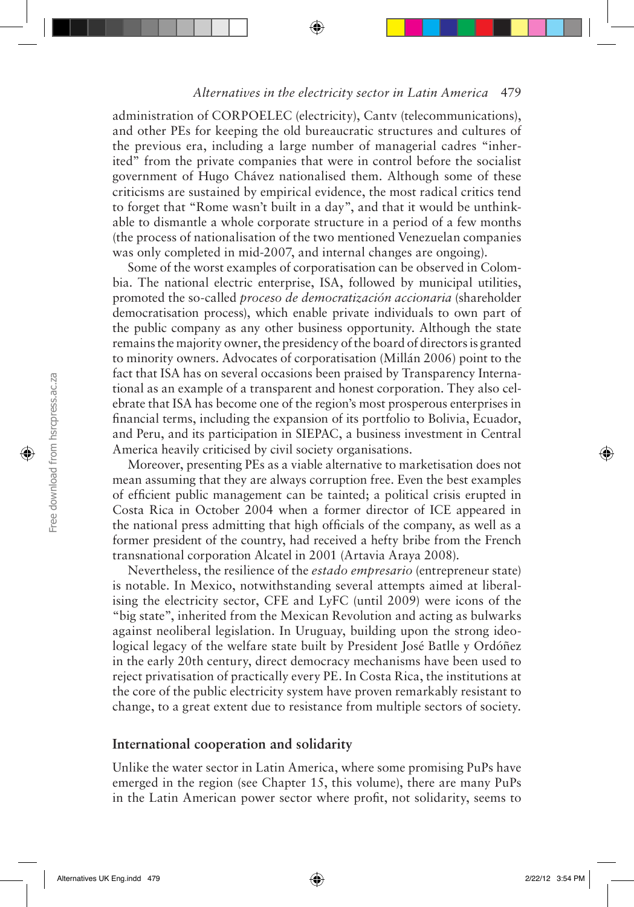administration of CORPOELEC (electricity), Cantv (telecommunications), and other PEs for keeping the old bureaucratic structures and cultures of the previous era, including a large number of managerial cadres "inherited" from the private companies that were in control before the socialist government of Hugo Chávez nationalised them. Although some of these criticisms are sustained by empirical evidence, the most radical critics tend to forget that "Rome wasn't built in a day", and that it would be unthinkable to dismantle a whole corporate structure in a period of a few months (the process of nationalisation of the two mentioned Venezuelan companies was only completed in mid-2007, and internal changes are ongoing).

Some of the worst examples of corporatisation can be observed in Colombia. The national electric enterprise, ISA, followed by municipal utilities, promoted the so-called *proceso de democratización accionaria* (shareholder democratisation process), which enable private individuals to own part of the public company as any other business opportunity. Although the state remains the majority owner, the presidency of the board of directors is granted to minority owners. Advocates of corporatisation (Millán 2006) point to the fact that ISA has on several occasions been praised by Transparency International as an example of a transparent and honest corporation. They also celebrate that ISA has become one of the region's most prosperous enterprises in financial terms, including the expansion of its portfolio to Bolivia, Ecuador, and Peru, and its participation in SIEPAC, a business investment in Central America heavily criticised by civil society organisations.

Moreover, presenting PEs as a viable alternative to marketisation does not mean assuming that they are always corruption free. Even the best examples of efficient public management can be tainted; a political crisis erupted in Costa Rica in October 2004 when a former director of ICE appeared in the national press admitting that high officials of the company, as well as a former president of the country, had received a hefty bribe from the French transnational corporation Alcatel in 2001 (Artavia Araya 2008).

Nevertheless, the resilience of the *estado empresario* (entrepreneur state) is notable. In Mexico, notwithstanding several attempts aimed at liberalising the electricity sector, CFE and LyFC (until 2009) were icons of the "big state", inherited from the Mexican Revolution and acting as bulwarks against neoliberal legislation. In Uruguay, building upon the strong ideological legacy of the welfare state built by President José Batlle y Ordóñez in the early 20th century, direct democracy mechanisms have been used to reject privatisation of practically every PE. In Costa Rica, the institutions at the core of the public electricity system have proven remarkably resistant to change, to a great extent due to resistance from multiple sectors of society.

#### **International cooperation and solidarity**

Unlike the water sector in Latin America, where some promising PuPs have emerged in the region (see Chapter 15, this volume), there are many PuPs in the Latin American power sector where profit, not solidarity, seems to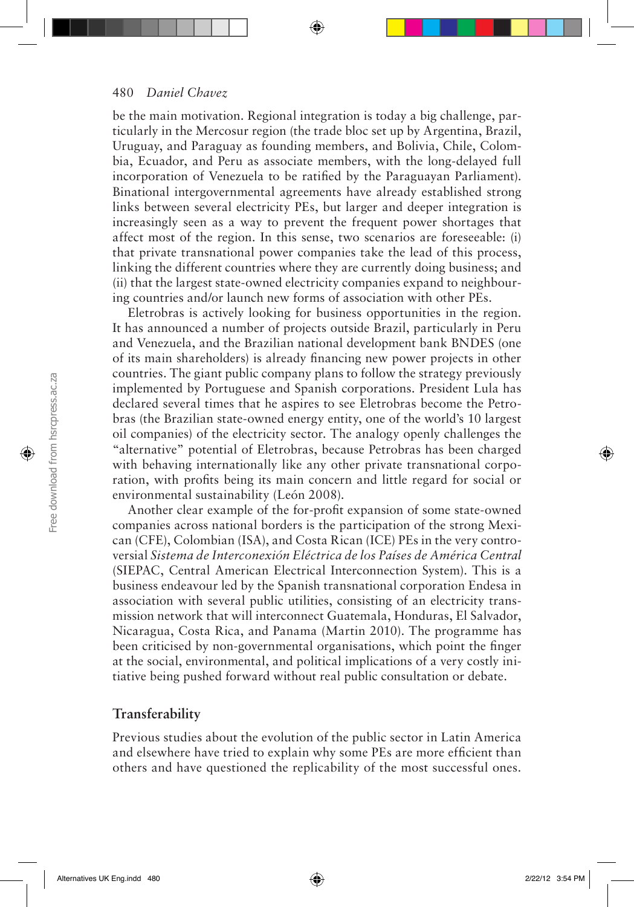be the main motivation. Regional integration is today a big challenge, particularly in the Mercosur region (the trade bloc set up by Argentina, Brazil, Uruguay, and Paraguay as founding members, and Bolivia, Chile, Colombia, Ecuador, and Peru as associate members, with the long-delayed full incorporation of Venezuela to be ratified by the Paraguayan Parliament). Binational intergovernmental agreements have already established strong links between several electricity PEs, but larger and deeper integration is increasingly seen as a way to prevent the frequent power shortages that affect most of the region. In this sense, two scenarios are foreseeable: (i) that private transnational power companies take the lead of this process, linking the different countries where they are currently doing business; and (ii) that the largest state-owned electricity companies expand to neighbouring countries and/or launch new forms of association with other PEs.

Eletrobras is actively looking for business opportunities in the region. It has announced a number of projects outside Brazil, particularly in Peru and Venezuela, and the Brazilian national development bank BNDES (one of its main shareholders) is already financing new power projects in other countries. The giant public company plans to follow the strategy previously implemented by Portuguese and Spanish corporations. President Lula has declared several times that he aspires to see Eletrobras become the Petrobras (the Brazilian state-owned energy entity, one of the world's 10 largest oil companies) of the electricity sector. The analogy openly challenges the "alternative" potential of Eletrobras, because Petrobras has been charged with behaving internationally like any other private transnational corporation, with profits being its main concern and little regard for social or environmental sustainability (León 2008).

Another clear example of the for-profit expansion of some state-owned companies across national borders is the participation of the strong Mexican (CFE), Colombian (ISA), and Costa Rican (ICE) PEs in the very controversial *Sistema de Interconexión Eléctrica de los Países de América Central*  (SIEPAC, Central American Electrical Interconnection System). This is a business endeavour led by the Spanish transnational corporation Endesa in association with several public utilities, consisting of an electricity transmission network that will interconnect Guatemala, Honduras, El Salvador, Nicaragua, Costa Rica, and Panama (Martin 2010). The programme has been criticised by non-governmental organisations, which point the finger at the social, environmental, and political implications of a very costly initiative being pushed forward without real public consultation or debate.

## **Transferability**

Previous studies about the evolution of the public sector in Latin America and elsewhere have tried to explain why some PEs are more efficient than others and have questioned the replicability of the most successful ones.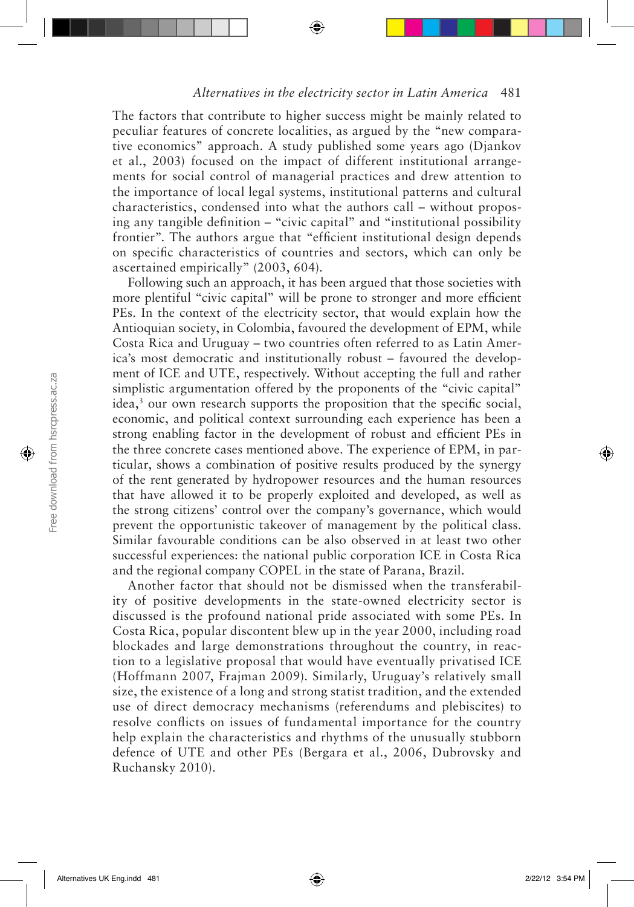The factors that contribute to higher success might be mainly related to peculiar features of concrete localities, as argued by the "new comparative economics" approach. A study published some years ago (Djankov et al., 2003) focused on the impact of different institutional arrangements for social control of managerial practices and drew attention to the importance of local legal systems, institutional patterns and cultural characteristics, condensed into what the authors call – without proposing any tangible definition – "civic capital" and "institutional possibility frontier". The authors argue that "efficient institutional design depends on specific characteristics of countries and sectors, which can only be ascertained empirically" (2003, 604).

Following such an approach, it has been argued that those societies with more plentiful "civic capital" will be prone to stronger and more efficient PEs. In the context of the electricity sector, that would explain how the Antioquian society, in Colombia, favoured the development of EPM, while Costa Rica and Uruguay – two countries often referred to as Latin America's most democratic and institutionally robust – favoured the development of ICE and UTE, respectively. Without accepting the full and rather simplistic argumentation offered by the proponents of the "civic capital" idea,<sup>3</sup> our own research supports the proposition that the specific social, economic, and political context surrounding each experience has been a strong enabling factor in the development of robust and efficient PEs in the three concrete cases mentioned above. The experience of EPM, in particular, shows a combination of positive results produced by the synergy of the rent generated by hydropower resources and the human resources that have allowed it to be properly exploited and developed, as well as the strong citizens' control over the company's governance, which would prevent the opportunistic takeover of management by the political class. Similar favourable conditions can be also observed in at least two other successful experiences: the national public corporation ICE in Costa Rica and the regional company COPEL in the state of Parana, Brazil.

Another factor that should not be dismissed when the transferability of positive developments in the state-owned electricity sector is discussed is the profound national pride associated with some PEs. In Costa Rica, popular discontent blew up in the year 2000, including road blockades and large demonstrations throughout the country, in reaction to a legislative proposal that would have eventually privatised ICE (Hoffmann 2007, Frajman 2009). Similarly, Uruguay's relatively small size, the existence of a long and strong statist tradition, and the extended use of direct democracy mechanisms (referendums and plebiscites) to resolve conflicts on issues of fundamental importance for the country help explain the characteristics and rhythms of the unusually stubborn defence of UTE and other PEs (Bergara et al., 2006, Dubrovsky and Ruchansky 2010).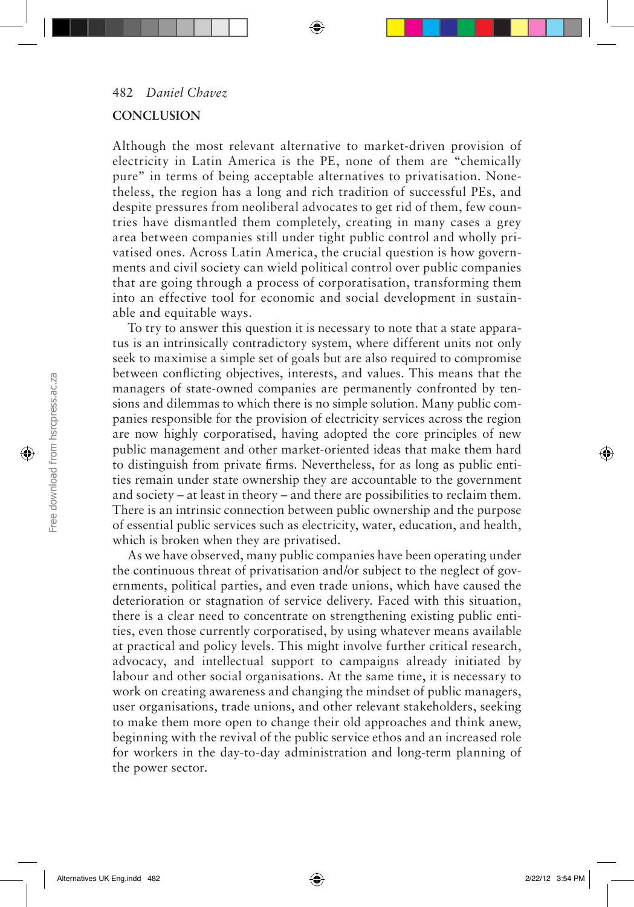#### **CONCLUSION**

Although the most relevant alternative to market-driven provision of electricity in Latin America is the PE, none of them are "chemically pure" in terms of being acceptable alternatives to privatisation. Nonetheless, the region has a long and rich tradition of successful PEs, and despite pressures from neoliberal advocates to get rid of them, few countries have dismantled them completely, creating in many cases a grey area between companies still under tight public control and wholly privatised ones. Across Latin America, the crucial question is how governments and civil society can wield political control over public companies that are going through a process of corporatisation, transforming them into an effective tool for economic and social development in sustainable and equitable ways.

To try to answer this question it is necessary to note that a state apparatus is an intrinsically contradictory system, where different units not only seek to maximise a simple set of goals but are also required to compromise between conflicting objectives, interests, and values. This means that the managers of state-owned companies are permanently confronted by tensions and dilemmas to which there is no simple solution. Many public companies responsible for the provision of electricity services across the region are now highly corporatised, having adopted the core principles of new public management and other market-oriented ideas that make them hard to distinguish from private firms. Nevertheless, for as long as public entities remain under state ownership they are accountable to the government and society – at least in theory – and there are possibilities to reclaim them. There is an intrinsic connection between public ownership and the purpose of essential public services such as electricity, water, education, and health, which is broken when they are privatised.

As we have observed, many public companies have been operating under the continuous threat of privatisation and/or subject to the neglect of governments, political parties, and even trade unions, which have caused the deterioration or stagnation of service delivery. Faced with this situation, there is a clear need to concentrate on strengthening existing public entities, even those currently corporatised, by using whatever means available at practical and policy levels. This might involve further critical research, advocacy, and intellectual support to campaigns already initiated by labour and other social organisations. At the same time, it is necessary to work on creating awareness and changing the mindset of public managers, user organisations, trade unions, and other relevant stakeholders, seeking to make them more open to change their old approaches and think anew, beginning with the revival of the public service ethos and an increased role for workers in the day-to-day administration and long-term planning of the power sector.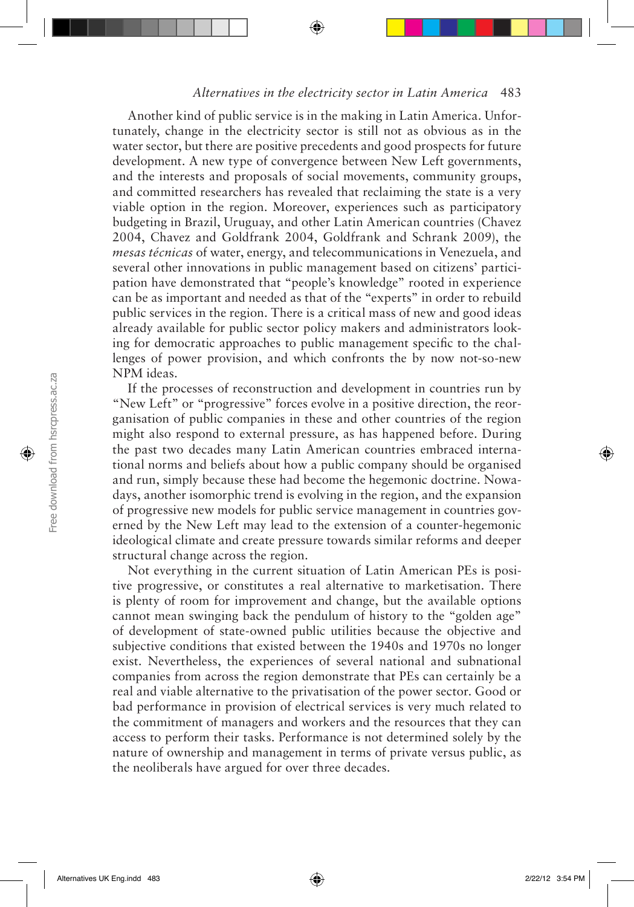Another kind of public service is in the making in Latin America. Unfortunately, change in the electricity sector is still not as obvious as in the water sector, but there are positive precedents and good prospects for future development. A new type of convergence between New Left governments, and the interests and proposals of social movements, community groups, and committed researchers has revealed that reclaiming the state is a very viable option in the region. Moreover, experiences such as participatory budgeting in Brazil, Uruguay, and other Latin American countries (Chavez 2004, Chavez and Goldfrank 2004, Goldfrank and Schrank 2009), the *mesas técnicas* of water, energy, and telecommunications in Venezuela, and several other innovations in public management based on citizens' participation have demonstrated that "people's knowledge" rooted in experience can be as important and needed as that of the "experts" in order to rebuild public services in the region. There is a critical mass of new and good ideas already available for public sector policy makers and administrators looking for democratic approaches to public management specific to the challenges of power provision, and which confronts the by now not-so-new NPM ideas.

If the processes of reconstruction and development in countries run by "New Left" or "progressive" forces evolve in a positive direction, the reorganisation of public companies in these and other countries of the region might also respond to external pressure, as has happened before. During the past two decades many Latin American countries embraced international norms and beliefs about how a public company should be organised and run, simply because these had become the hegemonic doctrine. Nowadays, another isomorphic trend is evolving in the region, and the expansion of progressive new models for public service management in countries governed by the New Left may lead to the extension of a counter-hegemonic ideological climate and create pressure towards similar reforms and deeper structural change across the region.

Not everything in the current situation of Latin American PEs is positive progressive, or constitutes a real alternative to marketisation. There is plenty of room for improvement and change, but the available options cannot mean swinging back the pendulum of history to the "golden age" of development of state-owned public utilities because the objective and subjective conditions that existed between the 1940s and 1970s no longer exist. Nevertheless, the experiences of several national and subnational companies from across the region demonstrate that PEs can certainly be a real and viable alternative to the privatisation of the power sector. Good or bad performance in provision of electrical services is very much related to the commitment of managers and workers and the resources that they can access to perform their tasks. Performance is not determined solely by the nature of ownership and management in terms of private versus public, as the neoliberals have argued for over three decades.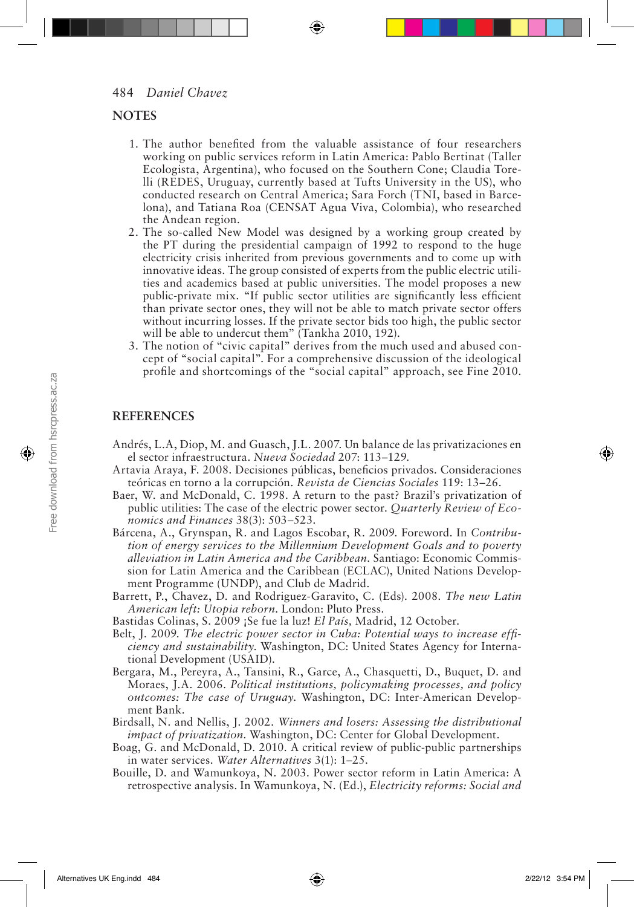## **NOTES**

- 1. The author benefited from the valuable assistance of four researchers working on public services reform in Latin America: Pablo Bertinat (Taller Ecologista, Argentina), who focused on the Southern Cone; Claudia Torelli (REDES, Uruguay, currently based at Tufts University in the US), who conducted research on Central America; Sara Forch (TNI, based in Barcelona), and Tatiana Roa (CENSAT Agua Viva, Colombia), who researched the Andean region.
- 2. The so-called New Model was designed by a working group created by the PT during the presidential campaign of 1992 to respond to the huge electricity crisis inherited from previous governments and to come up with innovative ideas. The group consisted of experts from the public electric utilities and academics based at public universities. The model proposes a new public-private mix. "If public sector utilities are significantly less efficient than private sector ones, they will not be able to match private sector offers without incurring losses. If the private sector bids too high, the public sector will be able to undercut them" (Tankha 2010, 192).
- 3. The notion of "civic capital" derives from the much used and abused concept of "social capital". For a comprehensive discussion of the ideological profile and shortcomings of the "social capital" approach, see Fine 2010.

## **REFERENCES**

- Andrés, L.A, Diop, M. and Guasch, J.L. 2007. Un balance de las privatizaciones en el sector infraestructura. *Nueva Sociedad* 207: 113–129.
- Artavia Araya, F. 2008. Decisiones públicas, beneficios privados. Consideraciones teóricas en torno a la corrupción. *Revista de Ciencias Sociales* 119: 13–26.
- Baer, W. and McDonald, C. 1998. A return to the past? Brazil's privatization of public utilities: The case of the electric power sector. *Quarterly Review of Economics and Finances* 38(3): 503–523.
- Bárcena, A., Grynspan, R. and Lagos Escobar, R. 2009. Foreword. In *Contribution of energy services to the Millennium Development Goals and to poverty alleviation in Latin America and the Caribbean*. Santiago: Economic Commission for Latin America and the Caribbean (ECLAC), United Nations Development Programme (UNDP), and Club de Madrid.
- Barrett, P., Chavez, D. and Rodriguez-Garavito, C. (Eds). 2008. *The new Latin American left: Utopia reborn*. London: Pluto Press.
- Bastidas Colinas, S. 2009 ¡Se fue la luz! *El País,* Madrid, 12 October.
- Belt, J. 2009. *The electric power sector in Cuba: Potential ways to increase efficiency and sustainability*. Washington, DC: United States Agency for International Development (USAID).
- Bergara, M., Pereyra, A., Tansini, R., Garce, A., Chasquetti, D., Buquet, D. and Moraes, J.A. 2006. *Political institutions, policymaking processes, and policy outcomes: The case of Uruguay*. Washington, DC: Inter-American Development Bank.
- Birdsall, N. and Nellis, J. 2002. *Winners and losers: Assessing the distributional impact of privatization*. Washington, DC: Center for Global Development.
- Boag, G. and McDonald, D. 2010. A critical review of public-public partnerships in water services. *Water Alternatives* 3(1): 1–25.
- Bouille, D. and Wamunkoya, N. 2003. Power sector reform in Latin America: A retrospective analysis. In Wamunkoya, N. (Ed.), *Electricity reforms: Social and*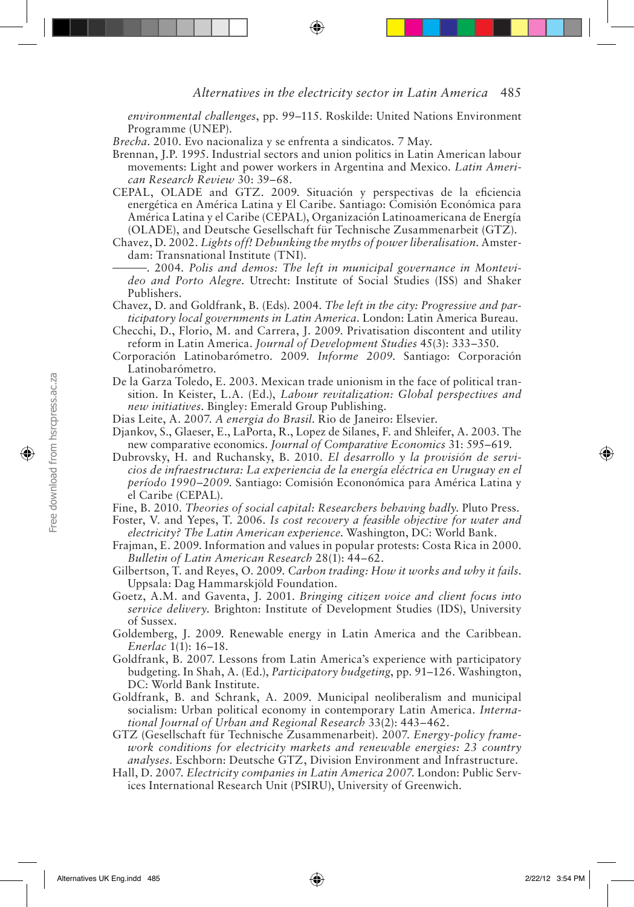*environmental challenges*, pp. 99–115. Roskilde: United Nations Environment Programme (UNEP).

- *Brecha*. 2010. Evo nacionaliza y se enfrenta a sindicatos. 7 May.
- Brennan, J.P. 1995. Industrial sectors and union politics in Latin American labour movements: Light and power workers in Argentina and Mexico. *Latin American Research Review* 30: 39–68.
- CEPAL, OLADE and GTZ. 2009. Situación y perspectivas de la eficiencia energética en América Latina y El Caribe. Santiago: Comisión Económica para América Latina y el Caribe (CEPAL), Organización Latinoamericana de Energía (OLADE), and Deutsche Gesellschaft für Technische Zusammenarbeit (GTZ).
- Chavez, D. 2002. *Lights off! Debunking the myths of power liberalisation*. Amsterdam: Transnational Institute (TNI).
- . 2004. *Polis and demos: The left in municipal governance in Montevideo and Porto Alegre*. Utrecht: Institute of Social Studies (ISS) and Shaker Publishers.
- Chavez, D. and Goldfrank, B. (Eds). 2004. *The left in the city: Progressive and participatory local governments in Latin America*. London: Latin America Bureau.
- Checchi, D., Florio, M. and Carrera, J. 2009. Privatisation discontent and utility reform in Latin America. *Journal of Development Studies* 45(3): 333–350.
- Corporación Latinobarómetro. 2009. *Informe 2009*. Santiago: Corporación Latinobarómetro.
- De la Garza Toledo, E. 2003. Mexican trade unionism in the face of political transition. In Keister, L.A. (Ed.), *Labour revitalization: Global perspectives and new initiatives*. Bingley: Emerald Group Publishing.
- Dias Leite, A. 2007. *A energia do Brasil*. Rio de Janeiro: Elsevier.
- Djankov, S., Glaeser, E., LaPorta, R., Lopez de Silanes, F. and Shleifer, A. 2003. The new comparative economics. *Journal of Comparative Economics* 31: 595–619.
- Dubrovsky, H. and Ruchansky, B. 2010. *El desarrollo y la provisión de servicios de infraestructura: La experiencia de la energía eléctrica en Uruguay en el período 1990–2009*. Santiago: Comisión Econonómica para América Latina y el Caribe (CEPAL).
- Fine, B. 2010. *Theories of social capital: Researchers behaving badly*. Pluto Press.
- Foster, V. and Yepes, T. 2006. *Is cost recovery a feasible objective for water and electricity? The Latin American experience*. Washington, DC: World Bank.
- Frajman, E. 2009. Information and values in popular protests: Costa Rica in 2000. *Bulletin of Latin American Research* 28(1): 44–62.
- Gilbertson, T. and Reyes, O. 2009. *Carbon trading: How it works and why it fails*. Uppsala: Dag Hammarskjöld Foundation.
- Goetz, A.M. and Gaventa, J. 2001. *Bringing citizen voice and client focus into service delivery*. Brighton: Institute of Development Studies (IDS), University of Sussex.
- Goldemberg, J. 2009. Renewable energy in Latin America and the Caribbean. *Enerlac* 1(1): 16–18.
- Goldfrank, B. 2007. Lessons from Latin America's experience with participatory budgeting. In Shah, A. (Ed.), *Participatory budgeting*, pp. 91–126. Washington, DC: World Bank Institute.
- Goldfrank, B. and Schrank, A. 2009. Municipal neoliberalism and municipal socialism: Urban political economy in contemporary Latin America. *International Journal of Urban and Regional Research* 33(2): 443–462.
- GTZ (Gesellschaft für Technische Zusammenarbeit). 2007. *Energy-policy framework conditions for electricity markets and renewable energies: 23 country analyses*. Eschborn: Deutsche GTZ, Division Environment and Infrastructure.
- Hall, D. 2007. *Electricity companies in Latin America 2007*. London: Public Services International Research Unit (PSIRU), University of Greenwich.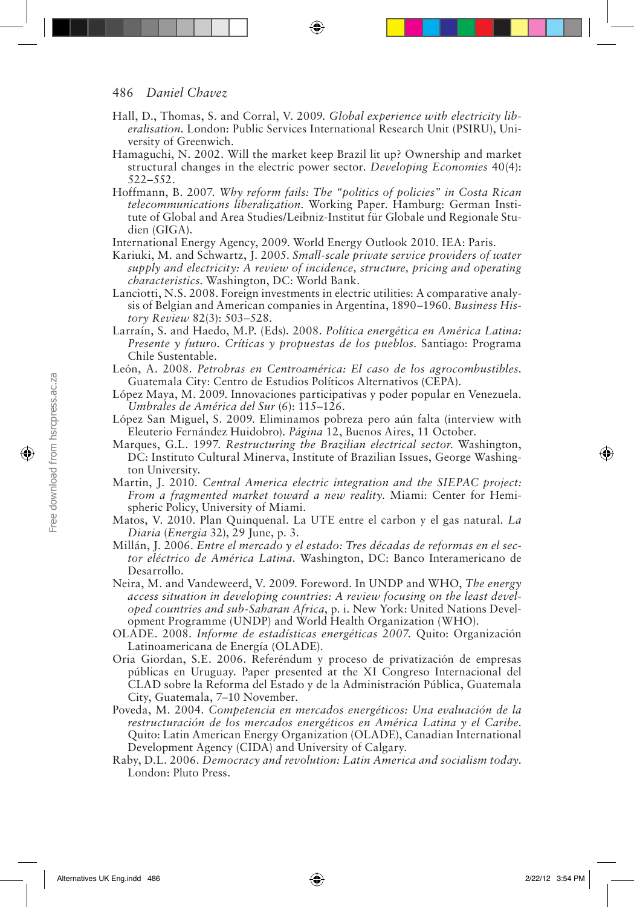#### 486 *Daniel Chavez*

- Hall, D., Thomas, S. and Corral, V. 2009. *Global experience with electricity liberalisation*. London: Public Services International Research Unit (PSIRU), University of Greenwich.
- Hamaguchi, N. 2002. Will the market keep Brazil lit up? Ownership and market structural changes in the electric power sector. *Developing Economies* 40(4): 522–552.
- Hoffmann, B. 2007. *Why reform fails: The "politics of policies" in Costa Rican telecommunications liberalization*. Working Paper. Hamburg: German Institute of Global and Area Studies/Leibniz-Institut für Globale und Regionale Studien (GIGA).
- International Energy Agency, 2009. World Energy Outlook 2010. IEA: Paris.
- Kariuki, M. and Schwartz, J. 2005. *Small-scale private service providers of water supply and electricity: A review of incidence, structure, pricing and operating characteristics*. Washington, DC: World Bank.
- Lanciotti, N.S. 2008. Foreign investments in electric utilities: A comparative analysis of Belgian and American companies in Argentina, 1890–1960. *Business History Review* 82(3): 503–528.
- Larraín, S. and Haedo, M.P. (Eds). 2008. *Política energética en América Latina: Presente y futuro. Críticas y propuestas de los pueblos*. Santiago: Programa Chile Sustentable.
- León, A. 2008. *Petrobras en Centroamérica: El caso de los agrocombustibles*. Guatemala City: Centro de Estudios Políticos Alternativos (CEPA).
- López Maya, M. 2009. Innovaciones participativas y poder popular en Venezuela. *Umbrales de América del Sur* (6): 115–126.
- López San Miguel, S. 2009. Eliminamos pobreza pero aún falta (interview with Eleuterio Fernández Huidobro). *Página* 12, Buenos Aires, 11 October.
- Marques, G.L. 1997. *Restructuring the Brazilian electrical sector*. Washington, DC: Instituto Cultural Minerva, Institute of Brazilian Issues, George Washington University.
- Martin, J. 2010. *Central America electric integration and the SIEPAC project: From a fragmented market toward a new reality*. Miami: Center for Hemispheric Policy, University of Miami.
- Matos, V. 2010. Plan Quinquenal. La UTE entre el carbon y el gas natural. *La Diaria* (*Energia* 32), 29 June, p. 3.
- Millán, J. 2006. *Entre el mercado y el estado: Tres décadas de reformas en el sector eléctrico de América Latina*. Washington, DC: Banco Interamericano de Desarrollo.
- Neira, M. and Vandeweerd, V. 2009. Foreword. In UNDP and WHO, *The energy access situation in developing countries: A review focusing on the least developed countries and sub-Saharan Africa*, p. i. New York: United Nations Development Programme (UNDP) and World Health Organization (WHO).
- OLADE. 2008. *Informe de estadísticas energéticas 2007.* Quito: Organización Latinoamericana de Energía (OLADE).
- Oria Giordan, S.E. 2006. Referéndum y proceso de privatización de empresas públicas en Uruguay. Paper presented at the XI Congreso Internacional del CLAD sobre la Reforma del Estado y de la Administración Pública, Guatemala City, Guatemala, 7–10 November.
- Poveda, M. 2004. *Competencia en mercados energéticos: Una evaluación de la restructuración de los mercados energéticos en América Latina y el Caribe*. Quito: Latin American Energy Organization (OLADE), Canadian International Development Agency (CIDA) and University of Calgary.
- Raby, D.L. 2006. *Democracy and revolution: Latin America and socialism today*. London: Pluto Press.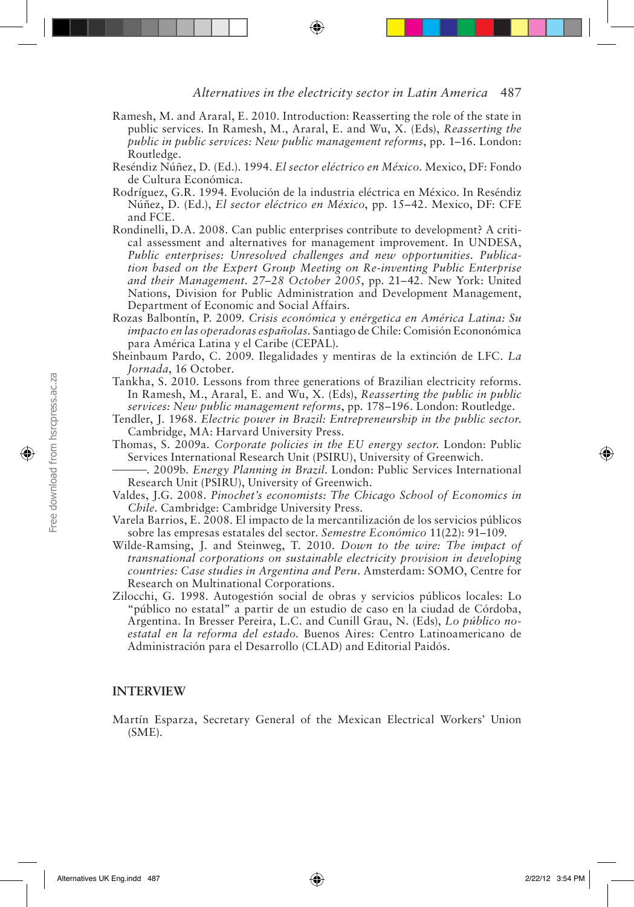- Ramesh, M. and Araral, E. 2010. Introduction: Reasserting the role of the state in public services. In Ramesh, M., Araral, E. and Wu, X. (Eds), *Reasserting the public in public services: New public management reforms*, pp. 1–16. London: Routledge.
- Reséndiz Núñez, D. (Ed.). 1994. *El sector eléctrico en México*. Mexico, DF: Fondo de Cultura Económica.
- Rodríguez, G.R. 1994. Evolución de la industria eléctrica en México. In Reséndiz Núñez, D. (Ed.), *El sector eléctrico en México*, pp. 15–42. Mexico, DF: CFE and FCE.
- Rondinelli, D.A. 2008. Can public enterprises contribute to development? A critical assessment and alternatives for management improvement. In UNDESA, *Public enterprises: Unresolved challenges and new opportunities. Publication based on the Expert Group Meeting on Re-inventing Public Enterprise and their Management. 27–28 October 2005*, pp. 21–42*.* New York: United Nations, Division for Public Administration and Development Management, Department of Economic and Social Affairs.
- Rozas Balbontín, P. 2009. *Crisis económica y enérgetica en América Latina: Su impacto en las operadoras españolas*. Santiago de Chile: Comisión Econonómica para América Latina y el Caribe (CEPAL).
- Sheinbaum Pardo, C. 2009. Ilegalidades y mentiras de la extinción de LFC. *La Jornada*, 16 October.
- Tankha, S. 2010. Lessons from three generations of Brazilian electricity reforms. In Ramesh, M., Araral, E. and Wu, X. (Eds), *Reasserting the public in public services: New public management reforms*, pp. 178–196. London: Routledge.
- Tendler, J. 1968. *Electric power in Brazil: Entrepreneurship in the public sector*. Cambridge, MA: Harvard University Press.
- Thomas, S. 2009a. *Corporate policies in the EU energy sector*. London: Public Services International Research Unit (PSIRU), University of Greenwich.
- . 2009b. *Energy Planning in Brazil*. London: Public Services International Research Unit (PSIRU), University of Greenwich.
- Valdes, J.G. 2008. *Pinochet's economists: The Chicago School of Economics in Chile*. Cambridge: Cambridge University Press.
- Varela Barrios, E. 2008. El impacto de la mercantilización de los servicios públicos sobre las empresas estatales del sector. *Semestre Económico* 11(22): 91–109.
- Wilde-Ramsing, J. and Steinweg, T. 2010. *Down to the wire: The impact of transnational corporations on sustainable electricity provision in developing countries: Case studies in Argentina and Peru*. Amsterdam: SOMO, Centre for Research on Multinational Corporations.
- Zilocchi, G. 1998. Autogestión social de obras y servicios públicos locales: Lo "público no estatal" a partir de un estudio de caso en la ciudad de Córdoba, Argentina. In Bresser Pereira, L.C. and Cunill Grau, N. (Eds), *Lo público noestatal en la reforma del estado*. Buenos Aires: Centro Latinoamericano de Administración para el Desarrollo (CLAD) and Editorial Paidós.

#### **INTERVIEW**

Martín Esparza, Secretary General of the Mexican Electrical Workers' Union (SME).